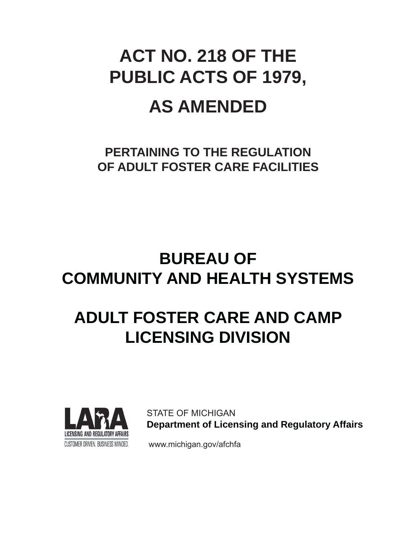# **ACT NO. 218 OF THE PUBLIC ACTS OF 1979, AS AMENDED**

**PERTAINING TO THE REGULATION OF ADULT FOSTER CARE FACILITIES**

# **BUREAU OF COMMUNITY AND HEALTH SYSTEMS**

# **ADULT FOSTER CARE AND CAMP LICENSING DIVISION**



STATE OF MICHIGAN  **Department of Licensing and Regulatory Affairs**

CUSTOMER DRIVEN. BUSINESS MINDED. www.michigan.gov/afchfa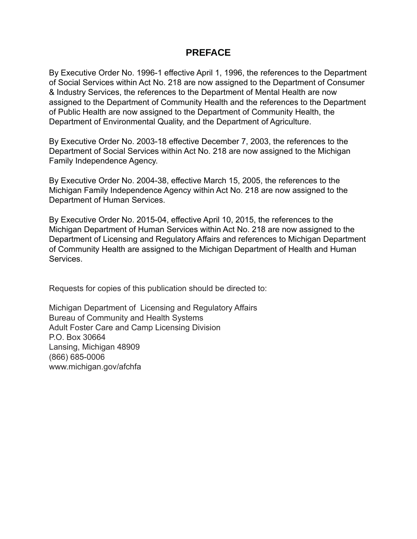# **PREFACE**

By Executive Order No. 1996-1 effective April 1, 1996, the references to the Department of Social Services within Act No. 218 are now assigned to the Department of Consumer & Industry Services, the references to the Department of Mental Health are now assigned to the Department of Community Health and the references to the Department of Public Health are now assigned to the Department of Community Health, the Department of Environmental Quality, and the Department of Agriculture.

By Executive Order No. 2003-18 effective December 7, 2003, the references to the Department of Social Services within Act No. 218 are now assigned to the Michigan Family Independence Agency.

By Executive Order No. 2004-38, effective March 15, 2005, the references to the Michigan Family Independence Agency within Act No. 218 are now assigned to the Department of Human Services.

By Executive Order No. 2015-04, effective April 10, 2015, the references to the Michigan Department of Human Services within Act No. 218 are now assigned to the Department of Licensing and Regulatory Affairs and references to Michigan Department of Community Health are assigned to the Michigan Department of Health and Human Services.

Requests for copies of this publication should be directed to:

Michigan Department of Licensing and Regulatory Affairs Bureau of Community and Health Systems Adult Foster Care and Camp Licensing Division P.O. Box 30664 Lansing, Michigan 48909 (866) 685-0006 www.michigan.gov/afchfa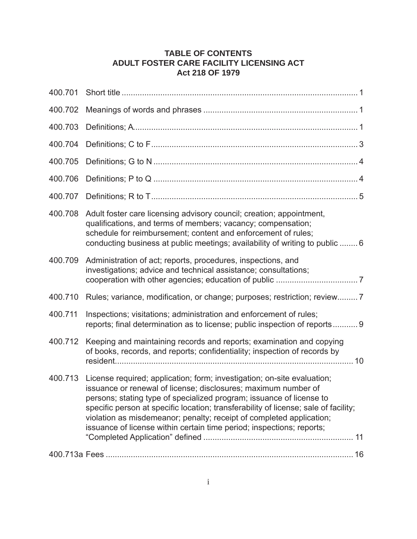# **TABLE OF CONTENTS ADULT FOSTER CARE FACILITY LICENSING ACT Act 218 OF 1979**

| 400.701 |                                                                                                                                                                                                                                                                                                                                                                                                                                                           |
|---------|-----------------------------------------------------------------------------------------------------------------------------------------------------------------------------------------------------------------------------------------------------------------------------------------------------------------------------------------------------------------------------------------------------------------------------------------------------------|
| 400.702 |                                                                                                                                                                                                                                                                                                                                                                                                                                                           |
| 400.703 |                                                                                                                                                                                                                                                                                                                                                                                                                                                           |
| 400.704 |                                                                                                                                                                                                                                                                                                                                                                                                                                                           |
| 400.705 |                                                                                                                                                                                                                                                                                                                                                                                                                                                           |
| 400.706 |                                                                                                                                                                                                                                                                                                                                                                                                                                                           |
| 400.707 |                                                                                                                                                                                                                                                                                                                                                                                                                                                           |
| 400.708 | Adult foster care licensing advisory council; creation; appointment,<br>qualifications, and terms of members; vacancy; compensation;<br>schedule for reimbursement; content and enforcement of rules;<br>conducting business at public meetings; availability of writing to public  6                                                                                                                                                                     |
| 400.709 | Administration of act; reports, procedures, inspections, and<br>investigations; advice and technical assistance; consultations;                                                                                                                                                                                                                                                                                                                           |
| 400.710 | Rules; variance, modification, or change; purposes; restriction; review7                                                                                                                                                                                                                                                                                                                                                                                  |
| 400.711 | Inspections; visitations; administration and enforcement of rules;<br>reports; final determination as to license; public inspection of reports 9                                                                                                                                                                                                                                                                                                          |
| 400.712 | Keeping and maintaining records and reports; examination and copying<br>of books, records, and reports; confidentiality; inspection of records by                                                                                                                                                                                                                                                                                                         |
| 400.713 | License required; application; form; investigation; on-site evaluation;<br>issuance or renewal of license; disclosures; maximum number of<br>persons; stating type of specialized program; issuance of license to<br>specific person at specific location; transferability of license; sale of facility;<br>violation as misdemeanor; penalty; receipt of completed application;<br>issuance of license within certain time period; inspections; reports; |
|         |                                                                                                                                                                                                                                                                                                                                                                                                                                                           |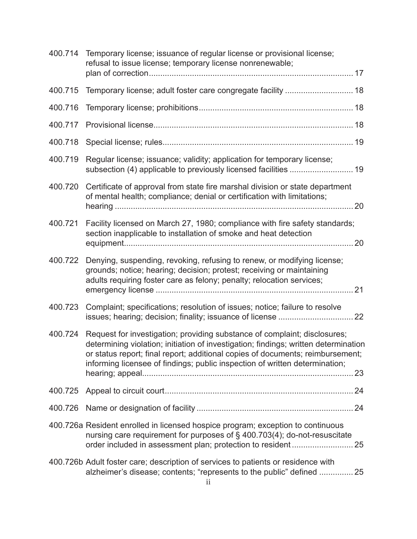| 400.714 | Temporary license; issuance of regular license or provisional license;<br>refusal to issue license; temporary license nonrenewable;                                                                                                                                                                                               |    |
|---------|-----------------------------------------------------------------------------------------------------------------------------------------------------------------------------------------------------------------------------------------------------------------------------------------------------------------------------------|----|
|         |                                                                                                                                                                                                                                                                                                                                   |    |
| 400.715 |                                                                                                                                                                                                                                                                                                                                   |    |
| 400.716 |                                                                                                                                                                                                                                                                                                                                   |    |
| 400.717 |                                                                                                                                                                                                                                                                                                                                   |    |
| 400.718 |                                                                                                                                                                                                                                                                                                                                   |    |
| 400.719 | Regular license; issuance; validity; application for temporary license;                                                                                                                                                                                                                                                           |    |
| 400.720 | Certificate of approval from state fire marshal division or state department<br>of mental health; compliance; denial or certification with limitations;                                                                                                                                                                           | 20 |
| 400.721 | Facility licensed on March 27, 1980; compliance with fire safety standards;<br>section inapplicable to installation of smoke and heat detection                                                                                                                                                                                   | 20 |
| 400.722 | Denying, suspending, revoking, refusing to renew, or modifying license;<br>grounds; notice; hearing; decision; protest; receiving or maintaining<br>adults requiring foster care as felony; penalty; relocation services;                                                                                                         |    |
| 400.723 | Complaint; specifications; resolution of issues; notice; failure to resolve                                                                                                                                                                                                                                                       |    |
| 400.724 | Request for investigation; providing substance of complaint; disclosures;<br>determining violation; initiation of investigation; findings; written determination<br>or status report; final report; additional copies of documents; reimbursement;<br>informing licensee of findings; public inspection of written determination; |    |
| 400.725 |                                                                                                                                                                                                                                                                                                                                   |    |
| 400.726 |                                                                                                                                                                                                                                                                                                                                   |    |
|         | 400.726a Resident enrolled in licensed hospice program; exception to continuous<br>nursing care requirement for purposes of § 400.703(4); do-not-resuscitate                                                                                                                                                                      |    |
|         | 400.726b Adult foster care; description of services to patients or residence with<br>alzheimer's disease; contents; "represents to the public" defined  25                                                                                                                                                                        |    |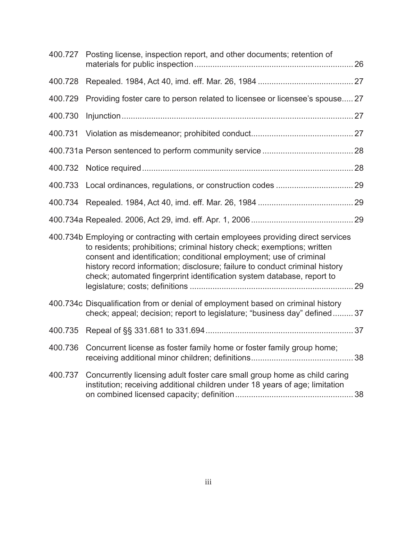| 400.727 | Posting license, inspection report, and other documents; retention of                                                                                                                                                                                                                                                                                                                         |  |
|---------|-----------------------------------------------------------------------------------------------------------------------------------------------------------------------------------------------------------------------------------------------------------------------------------------------------------------------------------------------------------------------------------------------|--|
| 400.728 |                                                                                                                                                                                                                                                                                                                                                                                               |  |
| 400.729 | Providing foster care to person related to licensee or licensee's spouse 27                                                                                                                                                                                                                                                                                                                   |  |
| 400.730 |                                                                                                                                                                                                                                                                                                                                                                                               |  |
| 400.731 |                                                                                                                                                                                                                                                                                                                                                                                               |  |
|         |                                                                                                                                                                                                                                                                                                                                                                                               |  |
| 400.732 |                                                                                                                                                                                                                                                                                                                                                                                               |  |
| 400.733 |                                                                                                                                                                                                                                                                                                                                                                                               |  |
| 400.734 |                                                                                                                                                                                                                                                                                                                                                                                               |  |
|         |                                                                                                                                                                                                                                                                                                                                                                                               |  |
|         | 400.734b Employing or contracting with certain employees providing direct services<br>to residents; prohibitions; criminal history check; exemptions; written<br>consent and identification; conditional employment; use of criminal<br>history record information; disclosure; failure to conduct criminal history<br>check; automated fingerprint identification system database, report to |  |
|         | 400.734c Disqualification from or denial of employment based on criminal history<br>check; appeal; decision; report to legislature; "business day" defined 37                                                                                                                                                                                                                                 |  |
| 400.735 |                                                                                                                                                                                                                                                                                                                                                                                               |  |
| 400.736 | Concurrent license as foster family home or foster family group home;                                                                                                                                                                                                                                                                                                                         |  |
| 400.737 | Concurrently licensing adult foster care small group home as child caring<br>institution; receiving additional children under 18 years of age; limitation                                                                                                                                                                                                                                     |  |
|         |                                                                                                                                                                                                                                                                                                                                                                                               |  |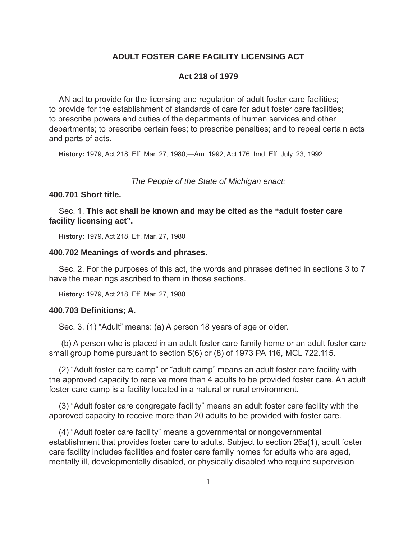# **ADULT FOSTER CARE FACILITY LICENSING ACT**

#### **Act 218 of 1979**

AN act to provide for the licensing and regulation of adult foster care facilities; to provide for the establishment of standards of care for adult foster care facilities; to prescribe powers and duties of the departments of human services and other departments; to prescribe certain fees; to prescribe penalties; and to repeal certain acts and parts of acts.

**History:** 1979, Act 218, Eff. Mar. 27, 1980;—Am. 1992, Act 176, Imd. Eff. July. 23, 1992.

*The People of the State of Michigan enact:*

#### **400.701 Short title.**

Sec. 1. **This act shall be known and may be cited as the "adult foster care facility licensing act".**

**History:** 1979, Act 218, Eff. Mar. 27, 1980

#### **400.702 Meanings of words and phrases.**

Sec. 2. For the purposes of this act, the words and phrases defined in sections 3 to 7 have the meanings ascribed to them in those sections.

**History:** 1979, Act 218, Eff. Mar. 27, 1980

#### **400.703 Defi nitions; A.**

Sec. 3. (1) "Adult" means: (a) A person 18 years of age or older.

(b) A person who is placed in an adult foster care family home or an adult foster care small group home pursuant to section 5(6) or (8) of 1973 PA 116, MCL 722.115.

(2) "Adult foster care camp" or "adult camp" means an adult foster care facility with the approved capacity to receive more than 4 adults to be provided foster care. An adult foster care camp is a facility located in a natural or rural environment.

(3) "Adult foster care congregate facility" means an adult foster care facility with the approved capacity to receive more than 20 adults to be provided with foster care.

(4) "Adult foster care facility" means a governmental or nongovernmental establishment that provides foster care to adults. Subject to section 26a(1), adult foster care facility includes facilities and foster care family homes for adults who are aged, mentally ill, developmentally disabled, or physically disabled who require supervision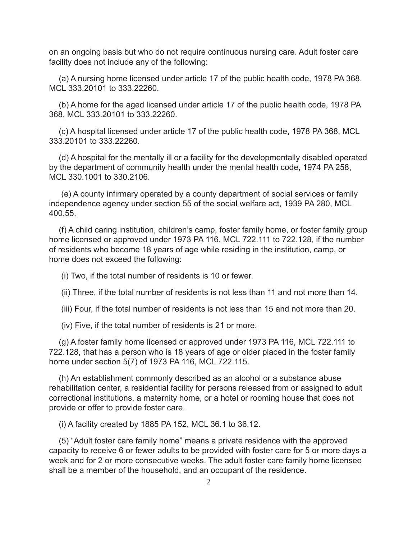on an ongoing basis but who do not require continuous nursing care. Adult foster care facility does not include any of the following:

(a) A nursing home licensed under article 17 of the public health code, 1978 PA 368, MCL 333.20101 to 333.22260.

(b) A home for the aged licensed under article 17 of the public health code, 1978 PA 368, MCL 333.20101 to 333.22260.

(c) A hospital licensed under article 17 of the public health code, 1978 PA 368, MCL 333.20101 to 333.22260.

(d) A hospital for the mentally ill or a facility for the developmentally disabled operated by the department of community health under the mental health code, 1974 PA 258, MCL 330.1001 to 330.2106.

(e) A county infirmary operated by a county department of social services or family independence agency under section 55 of the social welfare act, 1939 PA 280, MCL 400.55.

(f) A child caring institution, children's camp, foster family home, or foster family group home licensed or approved under 1973 PA 116, MCL 722.111 to 722.128, if the number of residents who become 18 years of age while residing in the institution, camp, or home does not exceed the following:

(i) Two, if the total number of residents is 10 or fewer.

(ii) Three, if the total number of residents is not less than 11 and not more than 14.

(iii) Four, if the total number of residents is not less than 15 and not more than 20.

(iv) Five, if the total number of residents is 21 or more.

(g) A foster family home licensed or approved under 1973 PA 116, MCL 722.111 to 722.128, that has a person who is 18 years of age or older placed in the foster family home under section 5(7) of 1973 PA 116, MCL 722.115.

(h) An establishment commonly described as an alcohol or a substance abuse rehabilitation center, a residential facility for persons released from or assigned to adult correctional institutions, a maternity home, or a hotel or rooming house that does not provide or offer to provide foster care.

(i) A facility created by 1885 PA 152, MCL 36.1 to 36.12.

(5) "Adult foster care family home" means a private residence with the approved capacity to receive 6 or fewer adults to be provided with foster care for 5 or more days a week and for 2 or more consecutive weeks. The adult foster care family home licensee shall be a member of the household, and an occupant of the residence.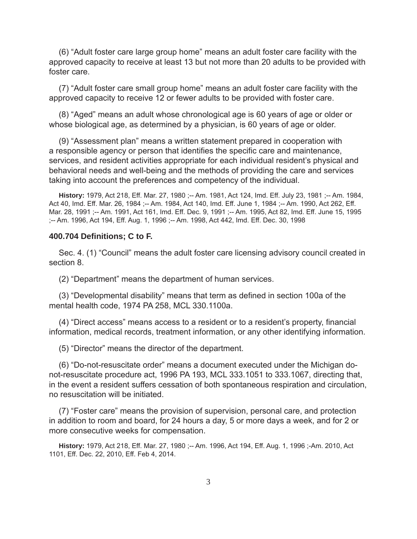(6) "Adult foster care large group home" means an adult foster care facility with the approved capacity to receive at least 13 but not more than 20 adults to be provided with foster care.

(7) "Adult foster care small group home" means an adult foster care facility with the approved capacity to receive 12 or fewer adults to be provided with foster care.

(8) "Aged" means an adult whose chronological age is 60 years of age or older or whose biological age, as determined by a physician, is 60 years of age or older.

(9) "Assessment plan" means a written statement prepared in cooperation with a responsible agency or person that identifies the specific care and maintenance, services, and resident activities appropriate for each individual resident's physical and behavioral needs and well-being and the methods of providing the care and services taking into account the preferences and competency of the individual.

**History:** 1979, Act 218, Eff. Mar. 27, 1980 ;-- Am. 1981, Act 124, Imd. Eff. July 23, 1981 ;-- Am. 1984, Act 40, Imd. Eff. Mar. 26, 1984 ;-- Am. 1984, Act 140, Imd. Eff. June 1, 1984 ;-- Am. 1990, Act 262, Eff. Mar. 28, 1991 ;-- Am. 1991, Act 161, Imd. Eff. Dec. 9, 1991 ;-- Am. 1995, Act 82, Imd. Eff. June 15, 1995 ;-- Am. 1996, Act 194, Eff. Aug. 1, 1996 ;-- Am. 1998, Act 442, Imd. Eff. Dec. 30, 1998

#### **400.704 Defi nitions; C to F.**

Sec. 4. (1) "Council" means the adult foster care licensing advisory council created in section 8.

(2) "Department" means the department of human services.

(3) "Developmental disability" means that term as defined in section 100a of the mental health code, 1974 PA 258, MCL 330.1100a.

(4) "Direct access" means access to a resident or to a resident's property, financial information, medical records, treatment information, or any other identifying information.

(5) "Director" means the director of the department.

(6) "Do-not-resuscitate order" means a document executed under the Michigan donot-resuscitate procedure act, 1996 PA 193, MCL 333.1051 to 333.1067, directing that, in the event a resident suffers cessation of both spontaneous respiration and circulation, no resuscitation will be initiated.

(7) "Foster care" means the provision of supervision, personal care, and protection in addition to room and board, for 24 hours a day, 5 or more days a week, and for 2 or more consecutive weeks for compensation.

**History:** 1979, Act 218, Eff. Mar. 27, 1980 ;-- Am. 1996, Act 194, Eff. Aug. 1, 1996 ;-Am. 2010, Act 1101, Eff. Dec. 22, 2010, Eff. Feb 4, 2014.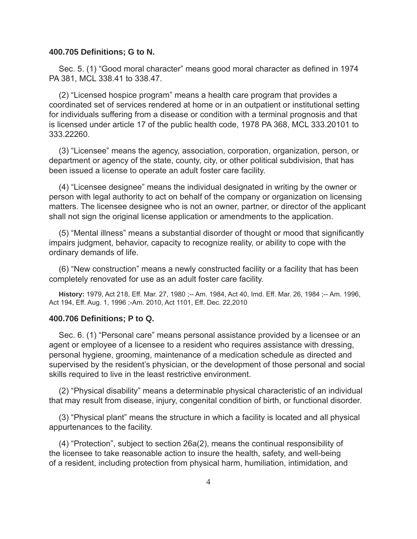#### **400.705 Defi nitions; G to N.**

Sec. 5. (1) "Good moral character" means good moral character as defined in 1974 PA 381, MCL 338.41 to 338.47.

(2) "Licensed hospice program" means a health care program that provides a coordinated set of services rendered at home or in an outpatient or institutional setting for individuals suffering from a disease or condition with a terminal prognosis and that is licensed under article 17 of the public health code, 1978 PA 368, MCL 333.20101 to 333.22260.

(3) "Licensee" means the agency, association, corporation, organization, person, or department or agency of the state, county, city, or other political subdivision, that has been issued a license to operate an adult foster care facility.

(4) "Licensee designee" means the individual designated in writing by the owner or person with legal authority to act on behalf of the company or organization on licensing matters. The licensee designee who is not an owner, partner, or director of the applicant shall not sign the original license application or amendments to the application.

(5) "Mental illness" means a substantial disorder of thought or mood that significantly impairs judgment, behavior, capacity to recognize reality, or ability to cope with the ordinary demands of life.

(6) "New construction" means a newly constructed facility or a facility that has been completely renovated for use as an adult foster care facility.

**History:** 1979, Act 218, Eff. Mar. 27, 1980 ;-- Am. 1984, Act 40, Imd. Eff. Mar. 26, 1984 ;-- Am. 1996, Act 194, Eff. Aug. 1, 1996 ;-Am. 2010, Act 1101, Eff. Dec. 22,2010

#### **400.706 Defi nitions; P to Q.**

Sec. 6. (1) "Personal care" means personal assistance provided by a licensee or an agent or employee of a licensee to a resident who requires assistance with dressing, personal hygiene, grooming, maintenance of a medication schedule as directed and supervised by the resident's physician, or the development of those personal and social skills required to live in the least restrictive environment.

(2) "Physical disability" means a determinable physical characteristic of an individual that may result from disease, injury, congenital condition of birth, or functional disorder.

(3) "Physical plant" means the structure in which a facility is located and all physical appurtenances to the facility.

(4) "Protection", subject to section 26a(2), means the continual responsibility of the licensee to take reasonable action to insure the health, safety, and well-being of a resident, including protection from physical harm, humiliation, intimidation, and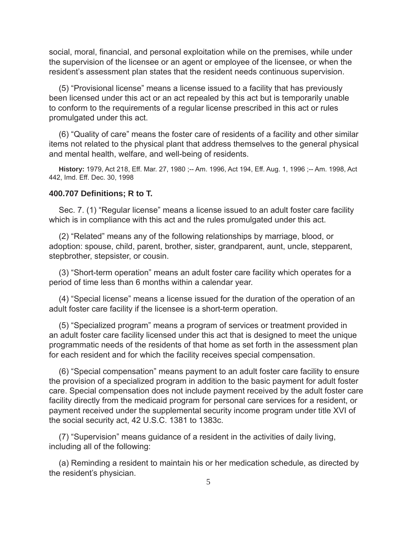social, moral, financial, and personal exploitation while on the premises, while under the supervision of the licensee or an agent or employee of the licensee, or when the resident's assessment plan states that the resident needs continuous supervision.

(5) "Provisional license" means a license issued to a facility that has previously been licensed under this act or an act repealed by this act but is temporarily unable to conform to the requirements of a regular license prescribed in this act or rules promulgated under this act.

(6) "Quality of care" means the foster care of residents of a facility and other similar items not related to the physical plant that address themselves to the general physical and mental health, welfare, and well-being of residents.

**History:** 1979, Act 218, Eff. Mar. 27, 1980 ;-- Am. 1996, Act 194, Eff. Aug. 1, 1996 ;-- Am. 1998, Act 442, Imd. Eff. Dec. 30, 1998

#### **400.707 Defi nitions; R to T.**

Sec. 7. (1) "Regular license" means a license issued to an adult foster care facility which is in compliance with this act and the rules promulgated under this act.

(2) "Related" means any of the following relationships by marriage, blood, or adoption: spouse, child, parent, brother, sister, grandparent, aunt, uncle, stepparent, stepbrother, stepsister, or cousin.

(3) "Short-term operation" means an adult foster care facility which operates for a period of time less than 6 months within a calendar year.

(4) "Special license" means a license issued for the duration of the operation of an adult foster care facility if the licensee is a short-term operation.

(5) "Specialized program" means a program of services or treatment provided in an adult foster care facility licensed under this act that is designed to meet the unique programmatic needs of the residents of that home as set forth in the assessment plan for each resident and for which the facility receives special compensation.

(6) "Special compensation" means payment to an adult foster care facility to ensure the provision of a specialized program in addition to the basic payment for adult foster care. Special compensation does not include payment received by the adult foster care facility directly from the medicaid program for personal care services for a resident, or payment received under the supplemental security income program under title XVI of the social security act, 42 U.S.C. 1381 to 1383c.

(7) "Supervision" means guidance of a resident in the activities of daily living, including all of the following:

(a) Reminding a resident to maintain his or her medication schedule, as directed by the resident's physician.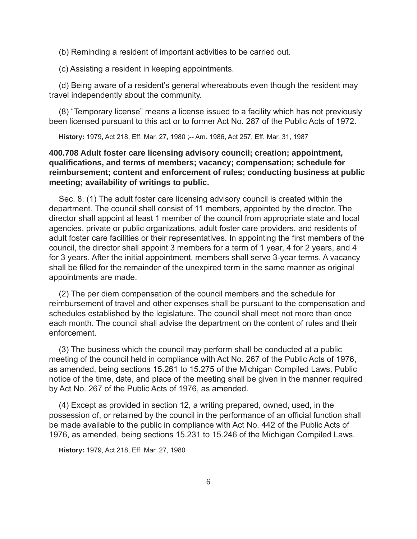(b) Reminding a resident of important activities to be carried out.

(c) Assisting a resident in keeping appointments.

(d) Being aware of a resident's general whereabouts even though the resident may travel independently about the community.

(8) "Temporary license" means a license issued to a facility which has not previously been licensed pursuant to this act or to former Act No. 287 of the Public Acts of 1972.

**History:** 1979, Act 218, Eff. Mar. 27, 1980 ;-- Am. 1986, Act 257, Eff. Mar. 31, 1987

# **400.708 Adult foster care licensing advisory council; creation; appointment, qualifi cations, and terms of members; vacancy; compensation; schedule for reimbursement; content and enforcement of rules; conducting business at public meeting; availability of writings to public.**

Sec. 8. (1) The adult foster care licensing advisory council is created within the department. The council shall consist of 11 members, appointed by the director. The director shall appoint at least 1 member of the council from appropriate state and local agencies, private or public organizations, adult foster care providers, and residents of adult foster care facilities or their representatives. In appointing the first members of the council, the director shall appoint 3 members for a term of 1 year, 4 for 2 years, and 4 for 3 years. After the initial appointment, members shall serve 3-year terms. A vacancy shall be filled for the remainder of the unexpired term in the same manner as original appointments are made.

(2) The per diem compensation of the council members and the schedule for reimbursement of travel and other expenses shall be pursuant to the compensation and schedules established by the legislature. The council shall meet not more than once each month. The council shall advise the department on the content of rules and their enforcement.

(3) The business which the council may perform shall be conducted at a public meeting of the council held in compliance with Act No. 267 of the Public Acts of 1976, as amended, being sections 15.261 to 15.275 of the Michigan Compiled Laws. Public notice of the time, date, and place of the meeting shall be given in the manner required by Act No. 267 of the Public Acts of 1976, as amended.

(4) Except as provided in section 12, a writing prepared, owned, used, in the possession of, or retained by the council in the performance of an official function shall be made available to the public in compliance with Act No. 442 of the Public Acts of 1976, as amended, being sections 15.231 to 15.246 of the Michigan Compiled Laws.

**History:** 1979, Act 218, Eff. Mar. 27, 1980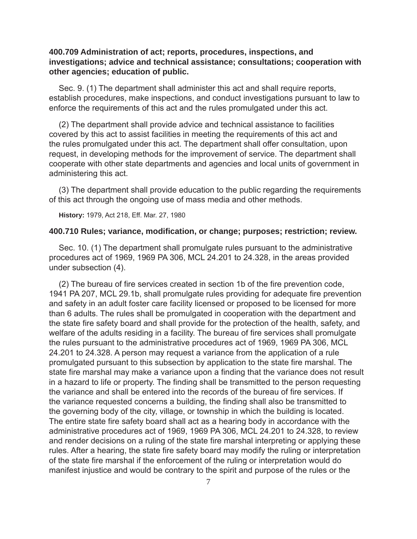# **400.709 Administration of act; reports, procedures, inspections, and investigations; advice and technical assistance; consultations; cooperation with other agencies; education of public.**

Sec. 9. (1) The department shall administer this act and shall require reports, establish procedures, make inspections, and conduct investigations pursuant to law to enforce the requirements of this act and the rules promulgated under this act.

(2) The department shall provide advice and technical assistance to facilities covered by this act to assist facilities in meeting the requirements of this act and the rules promulgated under this act. The department shall offer consultation, upon request, in developing methods for the improvement of service. The department shall cooperate with other state departments and agencies and local units of government in administering this act.

(3) The department shall provide education to the public regarding the requirements of this act through the ongoing use of mass media and other methods.

**History:** 1979, Act 218, Eff. Mar. 27, 1980

#### **400.710 Rules; variance, modifi cation, or change; purposes; restriction; review.**

Sec. 10. (1) The department shall promulgate rules pursuant to the administrative procedures act of 1969, 1969 PA 306, MCL 24.201 to 24.328, in the areas provided under subsection (4).

(2) The bureau of fire services created in section 1b of the fire prevention code, 1941 PA 207, MCL 29.1b, shall promulgate rules providing for adequate fire prevention and safety in an adult foster care facility licensed or proposed to be licensed for more than 6 adults. The rules shall be promulgated in cooperation with the department and the state fire safety board and shall provide for the protection of the health, safety, and welfare of the adults residing in a facility. The bureau of fire services shall promulgate the rules pursuant to the administrative procedures act of 1969, 1969 PA 306, MCL 24.201 to 24.328. A person may request a variance from the application of a rule promulgated pursuant to this subsection by application to the state fire marshal. The state fire marshal may make a variance upon a finding that the variance does not result in a hazard to life or property. The finding shall be transmitted to the person requesting the variance and shall be entered into the records of the bureau of fire services. If the variance requested concerns a building, the finding shall also be transmitted to the governing body of the city, village, or township in which the building is located. The entire state fire safety board shall act as a hearing body in accordance with the administrative procedures act of 1969, 1969 PA 306, MCL 24.201 to 24.328, to review and render decisions on a ruling of the state fire marshal interpreting or applying these rules. After a hearing, the state fire safety board may modify the ruling or interpretation of the state fire marshal if the enforcement of the ruling or interpretation would do manifest injustice and would be contrary to the spirit and purpose of the rules or the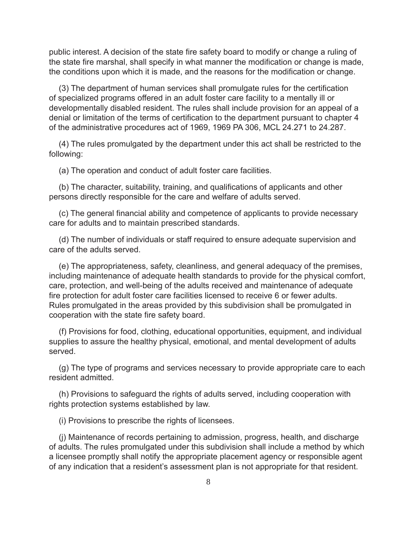public interest. A decision of the state fire safety board to modify or change a ruling of the state fire marshal, shall specify in what manner the modification or change is made, the conditions upon which it is made, and the reasons for the modification or change.

(3) The department of human services shall promulgate rules for the certification of specialized programs offered in an adult foster care facility to a mentally ill or developmentally disabled resident. The rules shall include provision for an appeal of a denial or limitation of the terms of certification to the department pursuant to chapter 4 of the administrative procedures act of 1969, 1969 PA 306, MCL 24.271 to 24.287.

(4) The rules promulgated by the department under this act shall be restricted to the following:

(a) The operation and conduct of adult foster care facilities.

(b) The character, suitability, training, and qualifications of applicants and other persons directly responsible for the care and welfare of adults served.

(c) The general financial ability and competence of applicants to provide necessary care for adults and to maintain prescribed standards.

(d) The number of individuals or staff required to ensure adequate supervision and care of the adults served.

(e) The appropriateness, safety, cleanliness, and general adequacy of the premises, including maintenance of adequate health standards to provide for the physical comfort, care, protection, and well-being of the adults received and maintenance of adequate fire protection for adult foster care facilities licensed to receive 6 or fewer adults. Rules promulgated in the areas provided by this subdivision shall be promulgated in cooperation with the state fire safety board.

(f) Provisions for food, clothing, educational opportunities, equipment, and individual supplies to assure the healthy physical, emotional, and mental development of adults served.

(g) The type of programs and services necessary to provide appropriate care to each resident admitted.

(h) Provisions to safeguard the rights of adults served, including cooperation with rights protection systems established by law.

(i) Provisions to prescribe the rights of licensees.

(j) Maintenance of records pertaining to admission, progress, health, and discharge of adults. The rules promulgated under this subdivision shall include a method by which a licensee promptly shall notify the appropriate placement agency or responsible agent of any indication that a resident's assessment plan is not appropriate for that resident.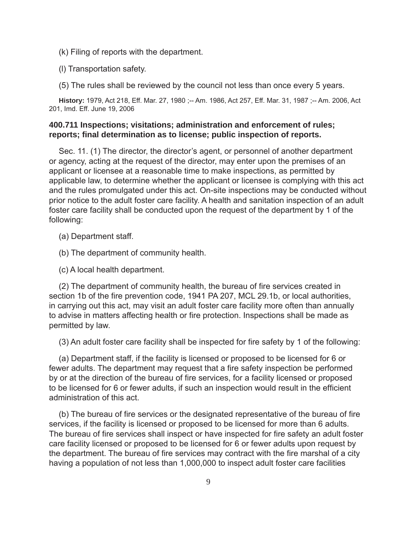(k) Filing of reports with the department.

(l) Transportation safety.

(5) The rules shall be reviewed by the council not less than once every 5 years.

**History:** 1979, Act 218, Eff. Mar. 27, 1980 ;-- Am. 1986, Act 257, Eff. Mar. 31, 1987 ;-- Am. 2006, Act 201, Imd. Eff. June 19, 2006

# **400.711 Inspections; visitations; administration and enforcement of rules; reports; fi nal determination as to license; public inspection of reports.**

Sec. 11. (1) The director, the director's agent, or personnel of another department or agency, acting at the request of the director, may enter upon the premises of an applicant or licensee at a reasonable time to make inspections, as permitted by applicable law, to determine whether the applicant or licensee is complying with this act and the rules promulgated under this act. On-site inspections may be conducted without prior notice to the adult foster care facility. A health and sanitation inspection of an adult foster care facility shall be conducted upon the request of the department by 1 of the following:

(a) Department staff.

(b) The department of community health.

(c) A local health department.

(2) The department of community health, the bureau of fire services created in section 1b of the fire prevention code, 1941 PA 207, MCL 29.1b, or local authorities, in carrying out this act, may visit an adult foster care facility more often than annually to advise in matters affecting health or fire protection. Inspections shall be made as permitted by law.

(3) An adult foster care facility shall be inspected for fire safety by 1 of the following:

(a) Department staff, if the facility is licensed or proposed to be licensed for 6 or fewer adults. The department may request that a fire safety inspection be performed by or at the direction of the bureau of fire services, for a facility licensed or proposed to be licensed for 6 or fewer adults, if such an inspection would result in the efficient administration of this act.

(b) The bureau of fire services or the designated representative of the bureau of fire services, if the facility is licensed or proposed to be licensed for more than 6 adults. The bureau of fire services shall inspect or have inspected for fire safety an adult foster care facility licensed or proposed to be licensed for 6 or fewer adults upon request by the department. The bureau of fire services may contract with the fire marshal of a city having a population of not less than 1,000,000 to inspect adult foster care facilities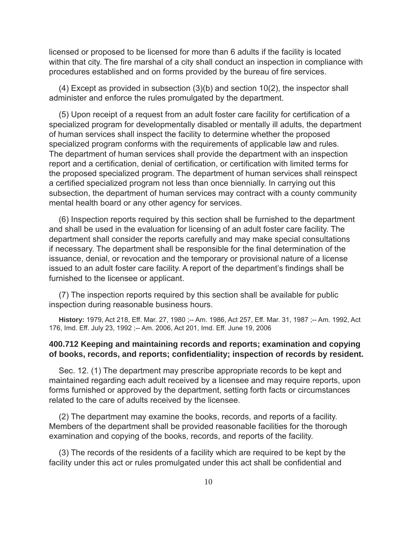licensed or proposed to be licensed for more than 6 adults if the facility is located within that city. The fire marshal of a city shall conduct an inspection in compliance with procedures established and on forms provided by the bureau of fire services.

(4) Except as provided in subsection (3)(b) and section 10(2), the inspector shall administer and enforce the rules promulgated by the department.

(5) Upon receipt of a request from an adult foster care facility for certification of a specialized program for developmentally disabled or mentally ill adults, the department of human services shall inspect the facility to determine whether the proposed specialized program conforms with the requirements of applicable law and rules. The department of human services shall provide the department with an inspection report and a certification, denial of certification, or certification with limited terms for the proposed specialized program. The department of human services shall reinspect a certified specialized program not less than once biennially. In carrying out this subsection, the department of human services may contract with a county community mental health board or any other agency for services.

(6) Inspection reports required by this section shall be furnished to the department and shall be used in the evaluation for licensing of an adult foster care facility. The department shall consider the reports carefully and may make special consultations if necessary. The department shall be responsible for the final determination of the issuance, denial, or revocation and the temporary or provisional nature of a license issued to an adult foster care facility. A report of the department's findings shall be furnished to the licensee or applicant.

(7) The inspection reports required by this section shall be available for public inspection during reasonable business hours.

**History:** 1979, Act 218, Eff. Mar. 27, 1980 ;-- Am. 1986, Act 257, Eff. Mar. 31, 1987 ;-- Am. 1992, Act 176, Imd. Eff. July 23, 1992 ;-- Am. 2006, Act 201, Imd. Eff. June 19, 2006

# **400.712 Keeping and maintaining records and reports; examination and copying of books, records, and reports; confi dentiality; inspection of records by resident.**

Sec. 12. (1) The department may prescribe appropriate records to be kept and maintained regarding each adult received by a licensee and may require reports, upon forms furnished or approved by the department, setting forth facts or circumstances related to the care of adults received by the licensee.

(2) The department may examine the books, records, and reports of a facility. Members of the department shall be provided reasonable facilities for the thorough examination and copying of the books, records, and reports of the facility.

(3) The records of the residents of a facility which are required to be kept by the facility under this act or rules promulgated under this act shall be confidential and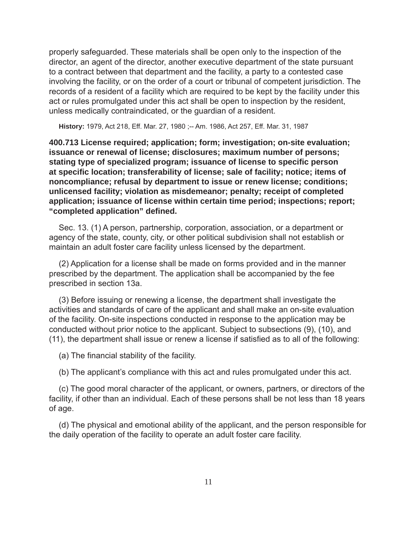properly safeguarded. These materials shall be open only to the inspection of the director, an agent of the director, another executive department of the state pursuant to a contract between that department and the facility, a party to a contested case involving the facility, or on the order of a court or tribunal of competent jurisdiction. The records of a resident of a facility which are required to be kept by the facility under this act or rules promulgated under this act shall be open to inspection by the resident, unless medically contraindicated, or the guardian of a resident.

**History:** 1979, Act 218, Eff. Mar. 27, 1980 ;-- Am. 1986, Act 257, Eff. Mar. 31, 1987

**400.713 License required; application; form; investigation; on-site evaluation; issuance or renewal of license; disclosures; maximum number of persons; stating type of specialized program; issuance of license to specifi c person at specifi c location; transferability of license; sale of facility; notice; items of noncompliance; refusal by department to issue or renew license; conditions; unlicensed facility; violation as misdemeanor; penalty; receipt of completed application; issuance of license within certain time period; inspections; report; "completed application" defi ned.**

Sec. 13. (1) A person, partnership, corporation, association, or a department or agency of the state, county, city, or other political subdivision shall not establish or maintain an adult foster care facility unless licensed by the department.

(2) Application for a license shall be made on forms provided and in the manner prescribed by the department. The application shall be accompanied by the fee prescribed in section 13a.

(3) Before issuing or renewing a license, the department shall investigate the activities and standards of care of the applicant and shall make an on-site evaluation of the facility. On-site inspections conducted in response to the application may be conducted without prior notice to the applicant. Subject to subsections (9), (10), and (11), the department shall issue or renew a license if satisfied as to all of the following:

(a) The financial stability of the facility.

(b) The applicant's compliance with this act and rules promulgated under this act.

(c) The good moral character of the applicant, or owners, partners, or directors of the facility, if other than an individual. Each of these persons shall be not less than 18 years of age.

(d) The physical and emotional ability of the applicant, and the person responsible for the daily operation of the facility to operate an adult foster care facility.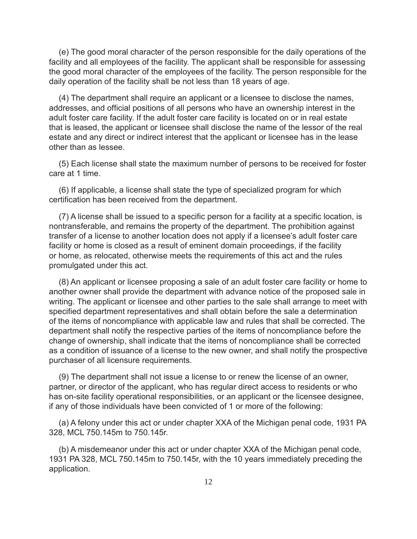(e) The good moral character of the person responsible for the daily operations of the facility and all employees of the facility. The applicant shall be responsible for assessing the good moral character of the employees of the facility. The person responsible for the daily operation of the facility shall be not less than 18 years of age.

(4) The department shall require an applicant or a licensee to disclose the names, addresses, and official positions of all persons who have an ownership interest in the adult foster care facility. If the adult foster care facility is located on or in real estate that is leased, the applicant or licensee shall disclose the name of the lessor of the real estate and any direct or indirect interest that the applicant or licensee has in the lease other than as lessee.

(5) Each license shall state the maximum number of persons to be received for foster care at 1 time.

(6) If applicable, a license shall state the type of specialized program for which certification has been received from the department.

(7) A license shall be issued to a specific person for a facility at a specific location, is nontransferable, and remains the property of the department. The prohibition against transfer of a license to another location does not apply if a licensee's adult foster care facility or home is closed as a result of eminent domain proceedings, if the facility or home, as relocated, otherwise meets the requirements of this act and the rules promulgated under this act.

(8) An applicant or licensee proposing a sale of an adult foster care facility or home to another owner shall provide the department with advance notice of the proposed sale in writing. The applicant or licensee and other parties to the sale shall arrange to meet with specified department representatives and shall obtain before the sale a determination of the items of noncompliance with applicable law and rules that shall be corrected. The department shall notify the respective parties of the items of noncompliance before the change of ownership, shall indicate that the items of noncompliance shall be corrected as a condition of issuance of a license to the new owner, and shall notify the prospective purchaser of all licensure requirements.

(9) The department shall not issue a license to or renew the license of an owner, partner, or director of the applicant, who has regular direct access to residents or who has on-site facility operational responsibilities, or an applicant or the licensee designee, if any of those individuals have been convicted of 1 or more of the following:

(a) A felony under this act or under chapter XXA of the Michigan penal code, 1931 PA 328, MCL 750.145m to 750.145r.

(b) A misdemeanor under this act or under chapter XXA of the Michigan penal code, 1931 PA 328, MCL 750.145m to 750.145r, with the 10 years immediately preceding the application.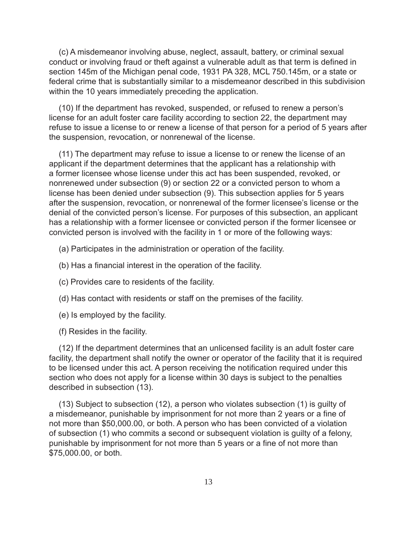(c) A misdemeanor involving abuse, neglect, assault, battery, or criminal sexual conduct or involving fraud or theft against a vulnerable adult as that term is defined in section 145m of the Michigan penal code, 1931 PA 328, MCL 750.145m, or a state or federal crime that is substantially similar to a misdemeanor described in this subdivision within the 10 years immediately preceding the application.

(10) If the department has revoked, suspended, or refused to renew a person's license for an adult foster care facility according to section 22, the department may refuse to issue a license to or renew a license of that person for a period of 5 years after the suspension, revocation, or nonrenewal of the license.

(11) The department may refuse to issue a license to or renew the license of an applicant if the department determines that the applicant has a relationship with a former licensee whose license under this act has been suspended, revoked, or nonrenewed under subsection (9) or section 22 or a convicted person to whom a license has been denied under subsection (9). This subsection applies for 5 years after the suspension, revocation, or nonrenewal of the former licensee's license or the denial of the convicted person's license. For purposes of this subsection, an applicant has a relationship with a former licensee or convicted person if the former licensee or convicted person is involved with the facility in 1 or more of the following ways:

- (a) Participates in the administration or operation of the facility.
- (b) Has a financial interest in the operation of the facility.
- (c) Provides care to residents of the facility.
- (d) Has contact with residents or staff on the premises of the facility.
- (e) Is employed by the facility.
- (f) Resides in the facility.

(12) If the department determines that an unlicensed facility is an adult foster care facility, the department shall notify the owner or operator of the facility that it is required to be licensed under this act. A person receiving the notification required under this section who does not apply for a license within 30 days is subject to the penalties described in subsection (13).

(13) Subject to subsection (12), a person who violates subsection (1) is guilty of a misdemeanor, punishable by imprisonment for not more than 2 years or a fine of not more than \$50,000.00, or both. A person who has been convicted of a violation of subsection (1) who commits a second or subsequent violation is guilty of a felony, punishable by imprisonment for not more than 5 years or a fine of not more than \$75,000.00, or both.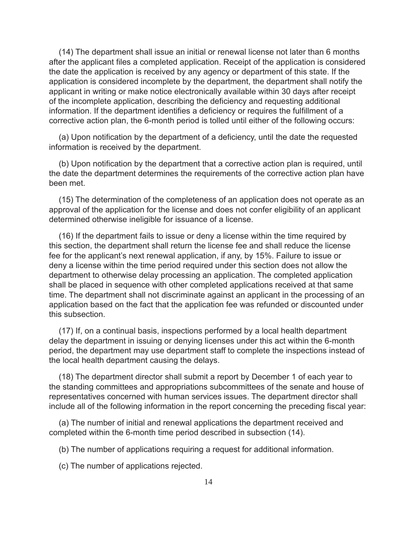(14) The department shall issue an initial or renewal license not later than 6 months after the applicant files a completed application. Receipt of the application is considered the date the application is received by any agency or department of this state. If the application is considered incomplete by the department, the department shall notify the applicant in writing or make notice electronically available within 30 days after receipt of the incomplete application, describing the deficiency and requesting additional information. If the department identifies a deficiency or requires the fulfillment of a corrective action plan, the 6-month period is tolled until either of the following occurs:

(a) Upon notification by the department of a deficiency, until the date the requested information is received by the department.

(b) Upon notification by the department that a corrective action plan is required, until the date the department determines the requirements of the corrective action plan have been met.

(15) The determination of the completeness of an application does not operate as an approval of the application for the license and does not confer eligibility of an applicant determined otherwise ineligible for issuance of a license.

(16) If the department fails to issue or deny a license within the time required by this section, the department shall return the license fee and shall reduce the license fee for the applicant's next renewal application, if any, by 15%. Failure to issue or deny a license within the time period required under this section does not allow the department to otherwise delay processing an application. The completed application shall be placed in sequence with other completed applications received at that same time. The department shall not discriminate against an applicant in the processing of an application based on the fact that the application fee was refunded or discounted under this subsection.

(17) If, on a continual basis, inspections performed by a local health department delay the department in issuing or denying licenses under this act within the 6-month period, the department may use department staff to complete the inspections instead of the local health department causing the delays.

(18) The department director shall submit a report by December 1 of each year to the standing committees and appropriations subcommittees of the senate and house of representatives concerned with human services issues. The department director shall include all of the following information in the report concerning the preceding fiscal year:

(a) The number of initial and renewal applications the department received and completed within the 6-month time period described in subsection (14).

(b) The number of applications requiring a request for additional information.

(c) The number of applications rejected.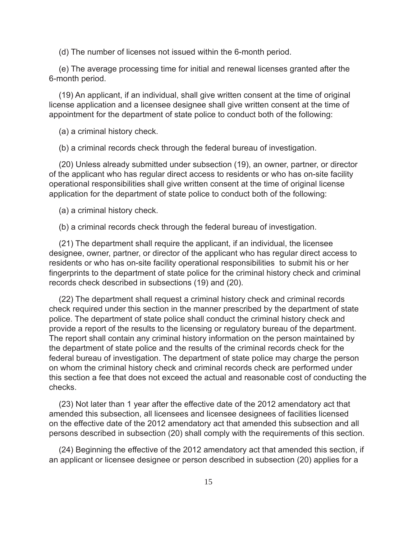(d) The number of licenses not issued within the 6-month period.

(e) The average processing time for initial and renewal licenses granted after the 6-month period.

(19) An applicant, if an individual, shall give written consent at the time of original license application and a licensee designee shall give written consent at the time of appointment for the department of state police to conduct both of the following:

(a) a criminal history check.

(b) a criminal records check through the federal bureau of investigation.

(20) Unless already submitted under subsection (19), an owner, partner, or director of the applicant who has regular direct access to residents or who has on-site facility operational responsibilities shall give written consent at the time of original license application for the department of state police to conduct both of the following:

(a) a criminal history check.

(b) a criminal records check through the federal bureau of investigation.

(21) The department shall require the applicant, if an individual, the licensee designee, owner, partner, or director of the applicant who has regular direct access to residents or who has on-site facility operational responsibilities to submit his or her fingerprints to the department of state police for the criminal history check and criminal records check described in subsections (19) and (20).

(22) The department shall request a criminal history check and criminal records check required under this section in the manner prescribed by the department of state police. The department of state police shall conduct the criminal history check and provide a report of the results to the licensing or regulatory bureau of the department. The report shall contain any criminal history information on the person maintained by the department of state police and the results of the criminal records check for the federal bureau of investigation. The department of state police may charge the person on whom the criminal history check and criminal records check are performed under this section a fee that does not exceed the actual and reasonable cost of conducting the checks.

(23) Not later than 1 year after the effective date of the 2012 amendatory act that amended this subsection, all licensees and licensee designees of facilities licensed on the effective date of the 2012 amendatory act that amended this subsection and all persons described in subsection (20) shall comply with the requirements of this section.

(24) Beginning the effective of the 2012 amendatory act that amended this section, if an applicant or licensee designee or person described in subsection (20) applies for a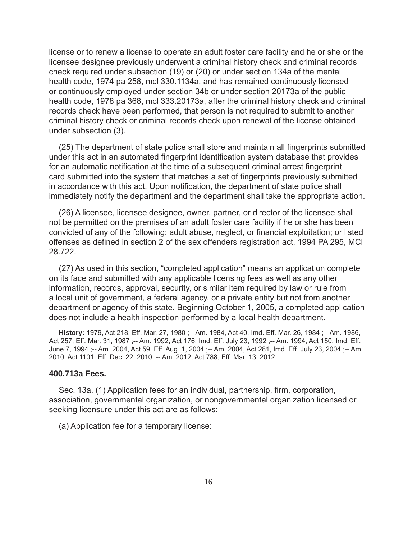license or to renew a license to operate an adult foster care facility and he or she or the licensee designee previously underwent a criminal history check and criminal records check required under subsection (19) or (20) or under section 134a of the mental health code, 1974 pa 258, mcl 330.1134a, and has remained continuously licensed or continuously employed under section 34b or under section 20173a of the public health code, 1978 pa 368, mcl 333.20173a, after the criminal history check and criminal records check have been performed, that person is not required to submit to another criminal history check or criminal records check upon renewal of the license obtained under subsection (3).

(25) The department of state police shall store and maintain all fingerprints submitted under this act in an automated fingerprint identification system database that provides for an automatic notification at the time of a subsequent criminal arrest fingerprint card submitted into the system that matches a set of fingerprints previously submitted in accordance with this act. Upon notification, the department of state police shall immediately notify the department and the department shall take the appropriate action.

(26) A licensee, licensee designee, owner, partner, or director of the licensee shall not be permitted on the premises of an adult foster care facility if he or she has been convicted of any of the following: adult abuse, neglect, or financial exploitation; or listed offenses as defined in section 2 of the sex offenders registration act, 1994 PA 295, MCI 28.722.

(27) As used in this section, "completed application" means an application complete on its face and submitted with any applicable licensing fees as well as any other information, records, approval, security, or similar item required by law or rule from a local unit of government, a federal agency, or a private entity but not from another department or agency of this state. Beginning October 1, 2005, a completed application does not include a health inspection performed by a local health department.

**History:** 1979, Act 218, Eff. Mar. 27, 1980 ;-- Am. 1984, Act 40, Imd. Eff. Mar. 26, 1984 ;-- Am. 1986, Act 257, Eff. Mar. 31, 1987 ;-- Am. 1992, Act 176, Imd. Eff. July 23, 1992 ;-- Am. 1994, Act 150, Imd. Eff. June 7, 1994 ;-- Am. 2004, Act 59, Eff. Aug. 1, 2004 ;-- Am. 2004, Act 281, Imd. Eff. July 23, 2004 ;-- Am. 2010, Act 1101, Eff. Dec. 22, 2010 ;-- Am. 2012, Act 788, Eff. Mar. 13, 2012.

#### **400.713a Fees.**

Sec. 13a. (1) Application fees for an individual, partnership, firm, corporation, association, governmental organization, or nongovernmental organization licensed or seeking licensure under this act are as follows:

(a) Application fee for a temporary license: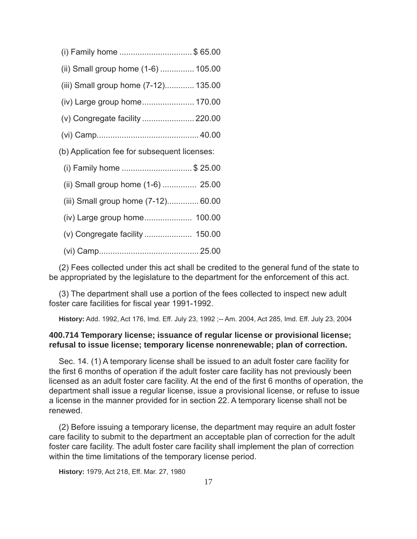- (i) Family home ................................ \$ 65.00
- (ii) Small group home (1-6) ............... 105.00
- (iii) Small group home (7-12)............. 135.00
- (iv) Large group home ....................... 170.00
- (v) Congregate facility ....................... 220.00
- (vi) Camp ............................................. 40.00
- (b) Application fee for subsequent licenses:
	- (i) Family home ............................... \$ 25.00
	- (ii) Small group home (1-6) ............... 25.00
	- (iii) Small group home (7-12).............. 60.00
	- (iv) Large group home ..................... 100.00
	- (v) Congregate facility ..................... 150.00
	- (vi) Camp ............................................ 25.00

(2) Fees collected under this act shall be credited to the general fund of the state to be appropriated by the legislature to the department for the enforcement of this act.

(3) The department shall use a portion of the fees collected to inspect new adult foster care facilities for fiscal year 1991-1992.

**History:** Add. 1992, Act 176, Imd. Eff. July 23, 1992 ;-- Am. 2004, Act 285, Imd. Eff. July 23, 2004

# **400.714 Temporary license; issuance of regular license or provisional license; refusal to issue license; temporary license nonrenewable; plan of correction.**

Sec. 14. (1) A temporary license shall be issued to an adult foster care facility for the first 6 months of operation if the adult foster care facility has not previously been licensed as an adult foster care facility. At the end of the first 6 months of operation, the department shall issue a regular license, issue a provisional license, or refuse to issue a license in the manner provided for in section 22. A temporary license shall not be renewed.

(2) Before issuing a temporary license, the department may require an adult foster care facility to submit to the department an acceptable plan of correction for the adult foster care facility. The adult foster care facility shall implement the plan of correction within the time limitations of the temporary license period.

**History:** 1979, Act 218, Eff. Mar. 27, 1980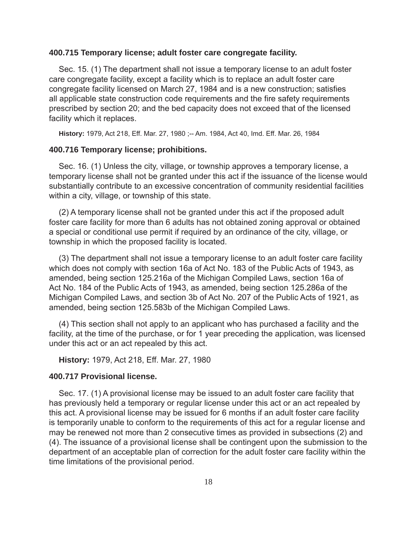#### **400.715 Temporary license; adult foster care congregate facility.**

Sec. 15. (1) The department shall not issue a temporary license to an adult foster care congregate facility, except a facility which is to replace an adult foster care congregate facility licensed on March 27, 1984 and is a new construction; satisfies all applicable state construction code requirements and the fire safety requirements prescribed by section 20; and the bed capacity does not exceed that of the licensed facility which it replaces.

**History:** 1979, Act 218, Eff. Mar. 27, 1980 ;-- Am. 1984, Act 40, Imd. Eff. Mar. 26, 1984

#### **400.716 Temporary license; prohibitions.**

Sec. 16. (1) Unless the city, village, or township approves a temporary license, a temporary license shall not be granted under this act if the issuance of the license would substantially contribute to an excessive concentration of community residential facilities within a city, village, or township of this state.

(2) A temporary license shall not be granted under this act if the proposed adult foster care facility for more than 6 adults has not obtained zoning approval or obtained a special or conditional use permit if required by an ordinance of the city, village, or township in which the proposed facility is located.

(3) The department shall not issue a temporary license to an adult foster care facility which does not comply with section 16a of Act No. 183 of the Public Acts of 1943, as amended, being section 125.216a of the Michigan Compiled Laws, section 16a of Act No. 184 of the Public Acts of 1943, as amended, being section 125.286a of the Michigan Compiled Laws, and section 3b of Act No. 207 of the Public Acts of 1921, as amended, being section 125.583b of the Michigan Compiled Laws.

(4) This section shall not apply to an applicant who has purchased a facility and the facility, at the time of the purchase, or for 1 year preceding the application, was licensed under this act or an act repealed by this act.

**History:** 1979, Act 218, Eff. Mar. 27, 1980

#### **400.717 Provisional license.**

Sec. 17. (1) A provisional license may be issued to an adult foster care facility that has previously held a temporary or regular license under this act or an act repealed by this act. A provisional license may be issued for 6 months if an adult foster care facility is temporarily unable to conform to the requirements of this act for a regular license and may be renewed not more than 2 consecutive times as provided in subsections (2) and (4). The issuance of a provisional license shall be contingent upon the submission to the department of an acceptable plan of correction for the adult foster care facility within the time limitations of the provisional period.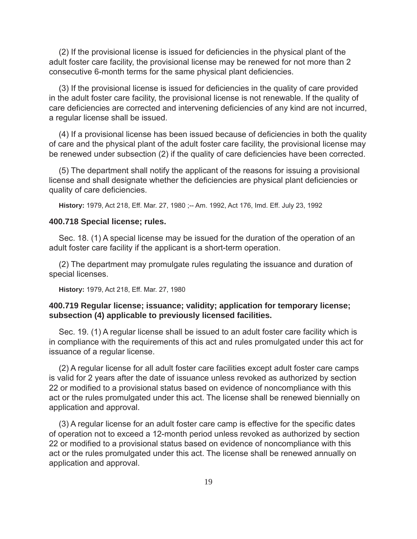(2) If the provisional license is issued for deficiencies in the physical plant of the adult foster care facility, the provisional license may be renewed for not more than 2 consecutive 6-month terms for the same physical plant deficiencies.

(3) If the provisional license is issued for deficiencies in the quality of care provided in the adult foster care facility, the provisional license is not renewable. If the quality of care deficiencies are corrected and intervening deficiencies of any kind are not incurred, a regular license shall be issued.

(4) If a provisional license has been issued because of deficiencies in both the quality of care and the physical plant of the adult foster care facility, the provisional license may be renewed under subsection (2) if the quality of care deficiencies have been corrected.

(5) The department shall notify the applicant of the reasons for issuing a provisional license and shall designate whether the deficiencies are physical plant deficiencies or quality of care deficiencies.

**History:** 1979, Act 218, Eff. Mar. 27, 1980 ;-- Am. 1992, Act 176, Imd. Eff. July 23, 1992

#### **400.718 Special license; rules.**

Sec. 18. (1) A special license may be issued for the duration of the operation of an adult foster care facility if the applicant is a short-term operation.

(2) The department may promulgate rules regulating the issuance and duration of special licenses.

**History:** 1979, Act 218, Eff. Mar. 27, 1980

# **400.719 Regular license; issuance; validity; application for temporary license; subsection (4) applicable to previously licensed facilities.**

Sec. 19. (1) A regular license shall be issued to an adult foster care facility which is in compliance with the requirements of this act and rules promulgated under this act for issuance of a regular license.

(2) A regular license for all adult foster care facilities except adult foster care camps is valid for 2 years after the date of issuance unless revoked as authorized by section 22 or modified to a provisional status based on evidence of noncompliance with this act or the rules promulgated under this act. The license shall be renewed biennially on application and approval.

(3) A regular license for an adult foster care camp is effective for the specific dates of operation not to exceed a 12-month period unless revoked as authorized by section 22 or modified to a provisional status based on evidence of noncompliance with this act or the rules promulgated under this act. The license shall be renewed annually on application and approval.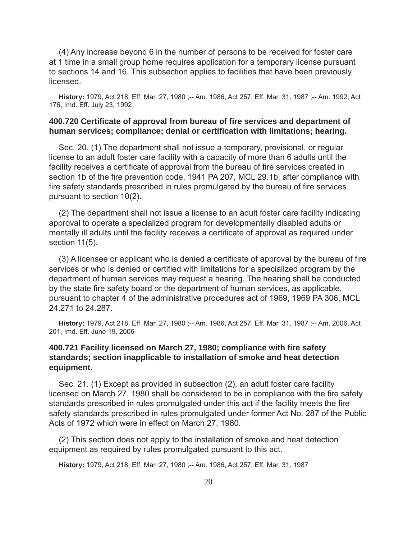(4) Any increase beyond 6 in the number of persons to be received for foster care at 1 time in a small group home requires application for a temporary license pursuant to sections 14 and 16. This subsection applies to facilities that have been previously licensed.

**History:** 1979, Act 218, Eff. Mar. 27, 1980 ;-- Am. 1986, Act 257, Eff. Mar. 31, 1987 ;-- Am. 1992, Act 176, Imd. Eff. July 23, 1992

# **400.720 Certifi cate of approval from bureau of fi re services and department of**  human services; compliance; denial or certification with limitations; hearing.

Sec. 20. (1) The department shall not issue a temporary, provisional, or regular license to an adult foster care facility with a capacity of more than 6 adults until the facility receives a certificate of approval from the bureau of fire services created in section 1b of the fire prevention code, 1941 PA 207, MCL 29.1b, after compliance with fire safety standards prescribed in rules promulgated by the bureau of fire services pursuant to section 10(2).

(2) The department shall not issue a license to an adult foster care facility indicating approval to operate a specialized program for developmentally disabled adults or mentally ill adults until the facility receives a certificate of approval as required under section 11(5).

(3) A licensee or applicant who is denied a certificate of approval by the bureau of fire services or who is denied or certified with limitations for a specialized program by the department of human services may request a hearing. The hearing shall be conducted by the state fire safety board or the department of human services, as applicable, pursuant to chapter 4 of the administrative procedures act of 1969, 1969 PA 306, MCL 24.271 to 24.287.

**History:** 1979, Act 218, Eff. Mar. 27, 1980 ;-- Am. 1986, Act 257, Eff. Mar. 31, 1987 ;-- Am. 2006, Act 201, Imd. Eff. June 19, 2006

# **400.721 Facility licensed on March 27, 1980; compliance with fi re safety standards; section inapplicable to installation of smoke and heat detection equipment.**

Sec. 21. (1) Except as provided in subsection (2), an adult foster care facility licensed on March 27, 1980 shall be considered to be in compliance with the fire safety standards prescribed in rules promulgated under this act if the facility meets the fire safety standards prescribed in rules promulgated under former Act No. 287 of the Public Acts of 1972 which were in effect on March 27, 1980.

(2) This section does not apply to the installation of smoke and heat detection equipment as required by rules promulgated pursuant to this act.

**History:** 1979, Act 218, Eff. Mar. 27, 1980 ;-- Am. 1986, Act 257, Eff. Mar. 31, 1987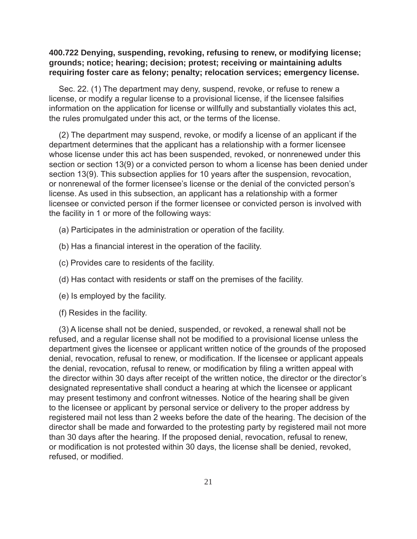# **400.722 Denying, suspending, revoking, refusing to renew, or modifying license; grounds; notice; hearing; decision; protest; receiving or maintaining adults requiring foster care as felony; penalty; relocation services; emergency license.**

Sec. 22. (1) The department may deny, suspend, revoke, or refuse to renew a license, or modify a regular license to a provisional license, if the licensee falsifies information on the application for license or willfully and substantially violates this act, the rules promulgated under this act, or the terms of the license.

(2) The department may suspend, revoke, or modify a license of an applicant if the department determines that the applicant has a relationship with a former licensee whose license under this act has been suspended, revoked, or nonrenewed under this section or section 13(9) or a convicted person to whom a license has been denied under section 13(9). This subsection applies for 10 years after the suspension, revocation, or nonrenewal of the former licensee's license or the denial of the convicted person's license. As used in this subsection, an applicant has a relationship with a former licensee or convicted person if the former licensee or convicted person is involved with the facility in 1 or more of the following ways:

- (a) Participates in the administration or operation of the facility.
- (b) Has a financial interest in the operation of the facility.
- (c) Provides care to residents of the facility.
- (d) Has contact with residents or staff on the premises of the facility.
- (e) Is employed by the facility.
- (f) Resides in the facility.

(3) A license shall not be denied, suspended, or revoked, a renewal shall not be refused, and a regular license shall not be modified to a provisional license unless the department gives the licensee or applicant written notice of the grounds of the proposed denial, revocation, refusal to renew, or modification. If the licensee or applicant appeals the denial, revocation, refusal to renew, or modification by filing a written appeal with the director within 30 days after receipt of the written notice, the director or the director's designated representative shall conduct a hearing at which the licensee or applicant may present testimony and confront witnesses. Notice of the hearing shall be given to the licensee or applicant by personal service or delivery to the proper address by registered mail not less than 2 weeks before the date of the hearing. The decision of the director shall be made and forwarded to the protesting party by registered mail not more than 30 days after the hearing. If the proposed denial, revocation, refusal to renew, or modification is not protested within 30 days, the license shall be denied, revoked, refused, or modified.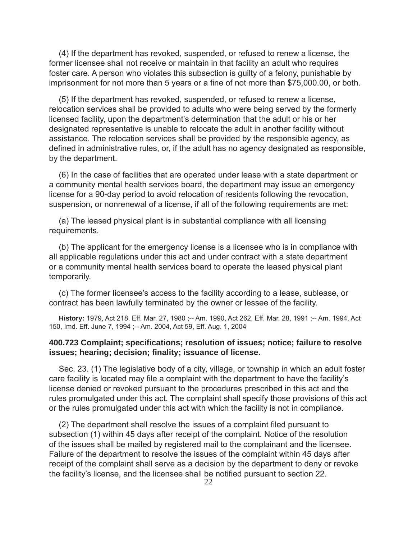(4) If the department has revoked, suspended, or refused to renew a license, the former licensee shall not receive or maintain in that facility an adult who requires foster care. A person who violates this subsection is guilty of a felony, punishable by imprisonment for not more than 5 years or a fine of not more than \$75,000.00, or both.

(5) If the department has revoked, suspended, or refused to renew a license, relocation services shall be provided to adults who were being served by the formerly licensed facility, upon the department's determination that the adult or his or her designated representative is unable to relocate the adult in another facility without assistance. The relocation services shall be provided by the responsible agency, as defined in administrative rules, or, if the adult has no agency designated as responsible, by the department.

(6) In the case of facilities that are operated under lease with a state department or a community mental health services board, the department may issue an emergency license for a 90-day period to avoid relocation of residents following the revocation, suspension, or nonrenewal of a license, if all of the following requirements are met:

(a) The leased physical plant is in substantial compliance with all licensing requirements.

(b) The applicant for the emergency license is a licensee who is in compliance with all applicable regulations under this act and under contract with a state department or a community mental health services board to operate the leased physical plant temporarily.

(c) The former licensee's access to the facility according to a lease, sublease, or contract has been lawfully terminated by the owner or lessee of the facility.

**History:** 1979, Act 218, Eff. Mar. 27, 1980 ;-- Am. 1990, Act 262, Eff. Mar. 28, 1991 ;-- Am. 1994, Act 150, Imd. Eff. June 7, 1994 ;-- Am. 2004, Act 59, Eff. Aug. 1, 2004

# **400.723 Complaint; specifi cations; resolution of issues; notice; failure to resolve issues; hearing; decision; fi nality; issuance of license.**

Sec. 23. (1) The legislative body of a city, village, or township in which an adult foster care facility is located may file a complaint with the department to have the facility's license denied or revoked pursuant to the procedures prescribed in this act and the rules promulgated under this act. The complaint shall specify those provisions of this act or the rules promulgated under this act with which the facility is not in compliance.

(2) The department shall resolve the issues of a complaint filed pursuant to subsection (1) within 45 days after receipt of the complaint. Notice of the resolution of the issues shall be mailed by registered mail to the complainant and the licensee. Failure of the department to resolve the issues of the complaint within 45 days after receipt of the complaint shall serve as a decision by the department to deny or revoke the facility's license, and the licensee shall be notified pursuant to section 22.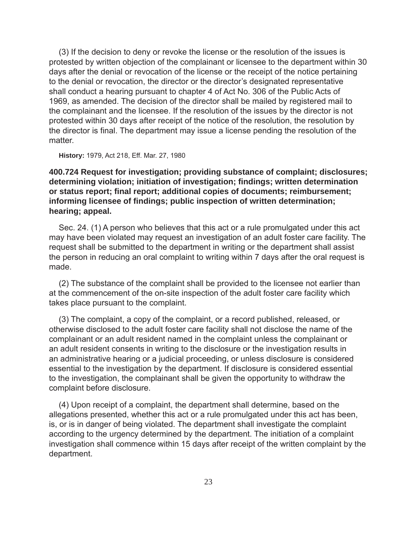(3) If the decision to deny or revoke the license or the resolution of the issues is protested by written objection of the complainant or licensee to the department within 30 days after the denial or revocation of the license or the receipt of the notice pertaining to the denial or revocation, the director or the director's designated representative shall conduct a hearing pursuant to chapter 4 of Act No. 306 of the Public Acts of 1969, as amended. The decision of the director shall be mailed by registered mail to the complainant and the licensee. If the resolution of the issues by the director is not protested within 30 days after receipt of the notice of the resolution, the resolution by the director is final. The department may issue a license pending the resolution of the matter.

**History:** 1979, Act 218, Eff. Mar. 27, 1980

**400.724 Request for investigation; providing substance of complaint; disclosures; determining violation; initiation of investigation; fi ndings; written determination**  or status report; final report; additional copies of documents; reimbursement; **informing licensee of findings; public inspection of written determination; hearing; appeal.**

Sec. 24. (1) A person who believes that this act or a rule promulgated under this act may have been violated may request an investigation of an adult foster care facility. The request shall be submitted to the department in writing or the department shall assist the person in reducing an oral complaint to writing within 7 days after the oral request is made.

(2) The substance of the complaint shall be provided to the licensee not earlier than at the commencement of the on-site inspection of the adult foster care facility which takes place pursuant to the complaint.

(3) The complaint, a copy of the complaint, or a record published, released, or otherwise disclosed to the adult foster care facility shall not disclose the name of the complainant or an adult resident named in the complaint unless the complainant or an adult resident consents in writing to the disclosure or the investigation results in an administrative hearing or a judicial proceeding, or unless disclosure is considered essential to the investigation by the department. If disclosure is considered essential to the investigation, the complainant shall be given the opportunity to withdraw the complaint before disclosure.

(4) Upon receipt of a complaint, the department shall determine, based on the allegations presented, whether this act or a rule promulgated under this act has been, is, or is in danger of being violated. The department shall investigate the complaint according to the urgency determined by the department. The initiation of a complaint investigation shall commence within 15 days after receipt of the written complaint by the department.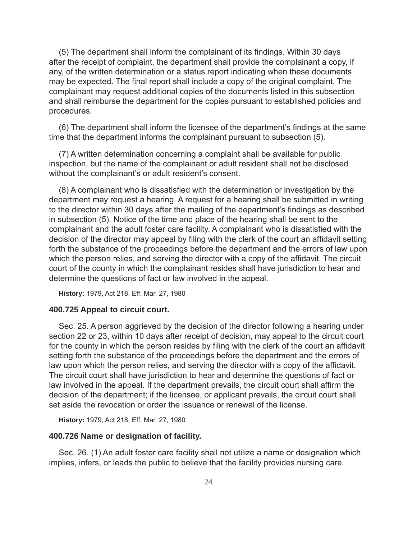(5) The department shall inform the complainant of its findings. Within 30 days after the receipt of complaint, the department shall provide the complainant a copy, if any, of the written determination or a status report indicating when these documents may be expected. The final report shall include a copy of the original complaint. The complainant may request additional copies of the documents listed in this subsection and shall reimburse the department for the copies pursuant to established policies and procedures.

(6) The department shall inform the licensee of the department's findings at the same time that the department informs the complainant pursuant to subsection (5).

(7) A written determination concerning a complaint shall be available for public inspection, but the name of the complainant or adult resident shall not be disclosed without the complainant's or adult resident's consent.

(8) A complainant who is dissatisfied with the determination or investigation by the department may request a hearing. A request for a hearing shall be submitted in writing to the director within 30 days after the mailing of the department's findings as described in subsection (5). Notice of the time and place of the hearing shall be sent to the complainant and the adult foster care facility. A complainant who is dissatisfied with the decision of the director may appeal by filing with the clerk of the court an affidavit setting forth the substance of the proceedings before the department and the errors of law upon which the person relies, and serving the director with a copy of the affidavit. The circuit court of the county in which the complainant resides shall have jurisdiction to hear and determine the questions of fact or law involved in the appeal.

**History:** 1979, Act 218, Eff. Mar. 27, 1980

#### **400.725 Appeal to circuit court.**

Sec. 25. A person aggrieved by the decision of the director following a hearing under section 22 or 23, within 10 days after receipt of decision, may appeal to the circuit court for the county in which the person resides by filing with the clerk of the court an affidavit setting forth the substance of the proceedings before the department and the errors of law upon which the person relies, and serving the director with a copy of the affidavit. The circuit court shall have jurisdiction to hear and determine the questions of fact or law involved in the appeal. If the department prevails, the circuit court shall affirm the decision of the department; if the licensee, or applicant prevails, the circuit court shall set aside the revocation or order the issuance or renewal of the license.

**History:** 1979, Act 218, Eff. Mar. 27, 1980

#### **400.726 Name or designation of facility.**

Sec. 26. (1) An adult foster care facility shall not utilize a name or designation which implies, infers, or leads the public to believe that the facility provides nursing care.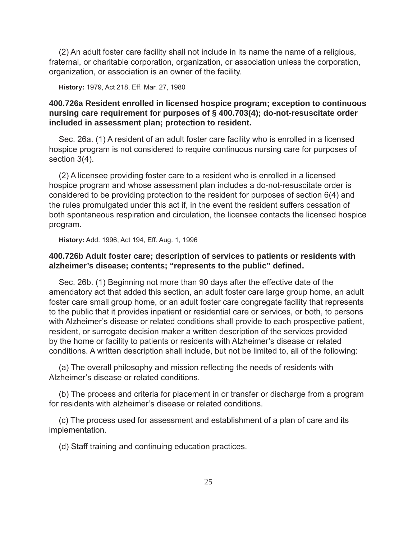(2) An adult foster care facility shall not include in its name the name of a religious, fraternal, or charitable corporation, organization, or association unless the corporation, organization, or association is an owner of the facility.

**History:** 1979, Act 218, Eff. Mar. 27, 1980

# **400.726a Resident enrolled in licensed hospice program; exception to continuous nursing care requirement for purposes of § 400.703(4); do-not-resuscitate order included in assessment plan; protection to resident.**

Sec. 26a. (1) A resident of an adult foster care facility who is enrolled in a licensed hospice program is not considered to require continuous nursing care for purposes of section 3(4).

(2) A licensee providing foster care to a resident who is enrolled in a licensed hospice program and whose assessment plan includes a do-not-resuscitate order is considered to be providing protection to the resident for purposes of section 6(4) and the rules promulgated under this act if, in the event the resident suffers cessation of both spontaneous respiration and circulation, the licensee contacts the licensed hospice program.

**History:** Add. 1996, Act 194, Eff. Aug. 1, 1996

# **400.726b Adult foster care; description of services to patients or residents with alzheimer's disease; contents; "represents to the public" defi ned.**

Sec. 26b. (1) Beginning not more than 90 days after the effective date of the amendatory act that added this section, an adult foster care large group home, an adult foster care small group home, or an adult foster care congregate facility that represents to the public that it provides inpatient or residential care or services, or both, to persons with Alzheimer's disease or related conditions shall provide to each prospective patient, resident, or surrogate decision maker a written description of the services provided by the home or facility to patients or residents with Alzheimer's disease or related conditions. A written description shall include, but not be limited to, all of the following:

(a) The overall philosophy and mission reflecting the needs of residents with Alzheimer's disease or related conditions.

(b) The process and criteria for placement in or transfer or discharge from a program for residents with alzheimer's disease or related conditions.

(c) The process used for assessment and establishment of a plan of care and its implementation.

(d) Staff training and continuing education practices.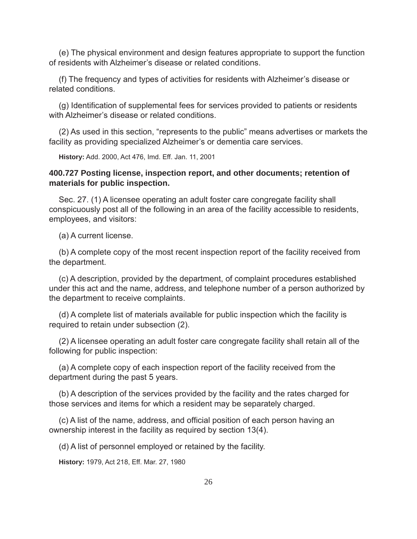(e) The physical environment and design features appropriate to support the function of residents with Alzheimer's disease or related conditions.

(f) The frequency and types of activities for residents with Alzheimer's disease or related conditions.

(g) Identification of supplemental fees for services provided to patients or residents with Alzheimer's disease or related conditions.

(2) As used in this section, "represents to the public" means advertises or markets the facility as providing specialized Alzheimer's or dementia care services.

**History:** Add. 2000, Act 476, Imd. Eff. Jan. 11, 2001

# **400.727 Posting license, inspection report, and other documents; retention of materials for public inspection.**

Sec. 27. (1) A licensee operating an adult foster care congregate facility shall conspicuously post all of the following in an area of the facility accessible to residents, employees, and visitors:

(a) A current license.

(b) A complete copy of the most recent inspection report of the facility received from the department.

(c) A description, provided by the department, of complaint procedures established under this act and the name, address, and telephone number of a person authorized by the department to receive complaints.

(d) A complete list of materials available for public inspection which the facility is required to retain under subsection (2).

(2) A licensee operating an adult foster care congregate facility shall retain all of the following for public inspection:

(a) A complete copy of each inspection report of the facility received from the department during the past 5 years.

(b) A description of the services provided by the facility and the rates charged for those services and items for which a resident may be separately charged.

(c) A list of the name, address, and official position of each person having an ownership interest in the facility as required by section 13(4).

(d) A list of personnel employed or retained by the facility.

**History:** 1979, Act 218, Eff. Mar. 27, 1980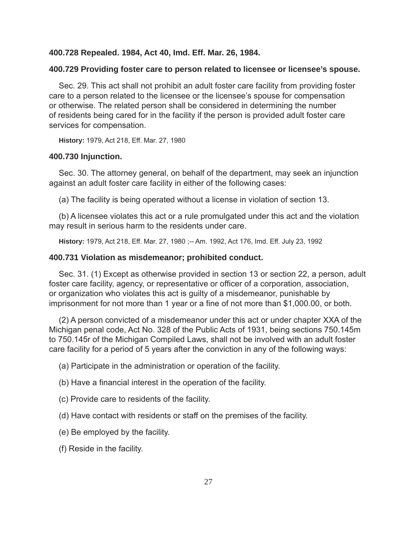# **400.728 Repealed. 1984, Act 40, Imd. Eff. Mar. 26, 1984.**

#### **400.729 Providing foster care to person related to licensee or licensee's spouse.**

Sec. 29. This act shall not prohibit an adult foster care facility from providing foster care to a person related to the licensee or the licensee's spouse for compensation or otherwise. The related person shall be considered in determining the number of residents being cared for in the facility if the person is provided adult foster care services for compensation.

**History:** 1979, Act 218, Eff. Mar. 27, 1980

#### **400.730 Injunction.**

Sec. 30. The attorney general, on behalf of the department, may seek an injunction against an adult foster care facility in either of the following cases:

(a) The facility is being operated without a license in violation of section 13.

(b) A licensee violates this act or a rule promulgated under this act and the violation may result in serious harm to the residents under care.

**History:** 1979, Act 218, Eff. Mar. 27, 1980 ;-- Am. 1992, Act 176, Imd. Eff. July 23, 1992

#### **400.731 Violation as misdemeanor; prohibited conduct.**

Sec. 31. (1) Except as otherwise provided in section 13 or section 22, a person, adult foster care facility, agency, or representative or officer of a corporation, association, or organization who violates this act is guilty of a misdemeanor, punishable by imprisonment for not more than 1 year or a fine of not more than \$1,000.00, or both.

(2) A person convicted of a misdemeanor under this act or under chapter XXA of the Michigan penal code, Act No. 328 of the Public Acts of 1931, being sections 750.145m to 750.145r of the Michigan Compiled Laws, shall not be involved with an adult foster care facility for a period of 5 years after the conviction in any of the following ways:

(a) Participate in the administration or operation of the facility.

(b) Have a financial interest in the operation of the facility.

- (c) Provide care to residents of the facility.
- (d) Have contact with residents or staff on the premises of the facility.
- (e) Be employed by the facility.
- (f) Reside in the facility.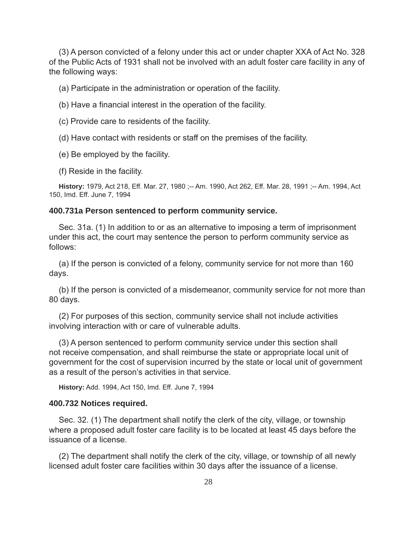(3) A person convicted of a felony under this act or under chapter XXA of Act No. 328 of the Public Acts of 1931 shall not be involved with an adult foster care facility in any of the following ways:

(a) Participate in the administration or operation of the facility.

- (b) Have a financial interest in the operation of the facility.
- (c) Provide care to residents of the facility.
- (d) Have contact with residents or staff on the premises of the facility.
- (e) Be employed by the facility.
- (f) Reside in the facility.

**History:** 1979, Act 218, Eff. Mar. 27, 1980 ;-- Am. 1990, Act 262, Eff. Mar. 28, 1991 ;-- Am. 1994, Act 150, Imd. Eff. June 7, 1994

# **400.731a Person sentenced to perform community service.**

Sec. 31a. (1) In addition to or as an alternative to imposing a term of imprisonment under this act, the court may sentence the person to perform community service as follows:

(a) If the person is convicted of a felony, community service for not more than 160 days.

(b) If the person is convicted of a misdemeanor, community service for not more than 80 days.

(2) For purposes of this section, community service shall not include activities involving interaction with or care of vulnerable adults.

(3) A person sentenced to perform community service under this section shall not receive compensation, and shall reimburse the state or appropriate local unit of government for the cost of supervision incurred by the state or local unit of government as a result of the person's activities in that service.

**History:** Add. 1994, Act 150, Imd. Eff. June 7, 1994

# **400.732 Notices required.**

Sec. 32. (1) The department shall notify the clerk of the city, village, or township where a proposed adult foster care facility is to be located at least 45 days before the issuance of a license.

(2) The department shall notify the clerk of the city, village, or township of all newly licensed adult foster care facilities within 30 days after the issuance of a license.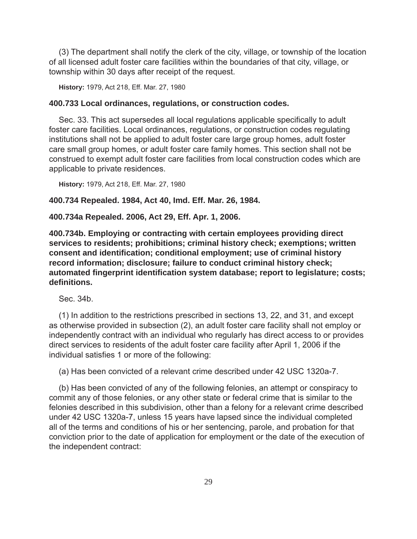(3) The department shall notify the clerk of the city, village, or township of the location of all licensed adult foster care facilities within the boundaries of that city, village, or township within 30 days after receipt of the request.

**History:** 1979, Act 218, Eff. Mar. 27, 1980

### **400.733 Local ordinances, regulations, or construction codes.**

Sec. 33. This act supersedes all local regulations applicable specifically to adult foster care facilities. Local ordinances, regulations, or construction codes regulating institutions shall not be applied to adult foster care large group homes, adult foster care small group homes, or adult foster care family homes. This section shall not be construed to exempt adult foster care facilities from local construction codes which are applicable to private residences.

**History:** 1979, Act 218, Eff. Mar. 27, 1980

#### **400.734 Repealed. 1984, Act 40, Imd. Eff. Mar. 26, 1984.**

#### **400.734a Repealed. 2006, Act 29, Eff. Apr. 1, 2006.**

**400.734b. Employing or contracting with certain employees providing direct services to residents; prohibitions; criminal history check; exemptions; written consent and identifi cation; conditional employment; use of criminal history record information; disclosure; failure to conduct criminal history check; automated fi ngerprint identifi cation system database; report to legislature; costs; defi nitions.**

Sec. 34b.

(1) In addition to the restrictions prescribed in sections 13, 22, and 31, and except as otherwise provided in subsection (2), an adult foster care facility shall not employ or independently contract with an individual who regularly has direct access to or provides direct services to residents of the adult foster care facility after April 1, 2006 if the individual satisfies 1 or more of the following:

(a) Has been convicted of a relevant crime described under 42 USC 1320a-7.

(b) Has been convicted of any of the following felonies, an attempt or conspiracy to commit any of those felonies, or any other state or federal crime that is similar to the felonies described in this subdivision, other than a felony for a relevant crime described under 42 USC 1320a-7, unless 15 years have lapsed since the individual completed all of the terms and conditions of his or her sentencing, parole, and probation for that conviction prior to the date of application for employment or the date of the execution of the independent contract: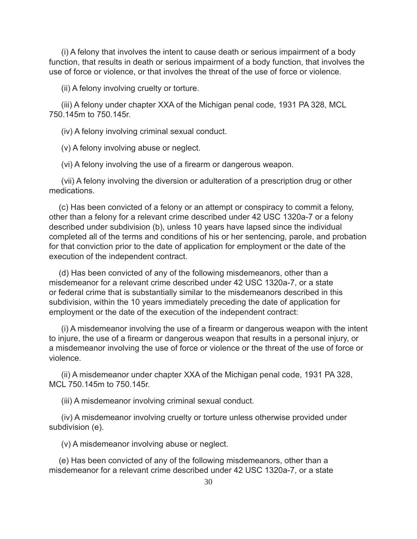(i) A felony that involves the intent to cause death or serious impairment of a body function, that results in death or serious impairment of a body function, that involves the use of force or violence, or that involves the threat of the use of force or violence.

(ii) A felony involving cruelty or torture.

(iii) A felony under chapter XXA of the Michigan penal code, 1931 PA 328, MCL 750.145m to 750.145r.

(iv) A felony involving criminal sexual conduct.

(v) A felony involving abuse or neglect.

(vi) A felony involving the use of a firearm or dangerous weapon.

(vii) A felony involving the diversion or adulteration of a prescription drug or other medications.

(c) Has been convicted of a felony or an attempt or conspiracy to commit a felony, other than a felony for a relevant crime described under 42 USC 1320a-7 or a felony described under subdivision (b), unless 10 years have lapsed since the individual completed all of the terms and conditions of his or her sentencing, parole, and probation for that conviction prior to the date of application for employment or the date of the execution of the independent contract.

(d) Has been convicted of any of the following misdemeanors, other than a misdemeanor for a relevant crime described under 42 USC 1320a-7, or a state or federal crime that is substantially similar to the misdemeanors described in this subdivision, within the 10 years immediately preceding the date of application for employment or the date of the execution of the independent contract:

(i) A misdemeanor involving the use of a firearm or dangerous weapon with the intent to injure, the use of a firearm or dangerous weapon that results in a personal injury, or a misdemeanor involving the use of force or violence or the threat of the use of force or violence.

(ii) A misdemeanor under chapter XXA of the Michigan penal code, 1931 PA 328, MCL 750.145m to 750.145r.

(iii) A misdemeanor involving criminal sexual conduct.

(iv) A misdemeanor involving cruelty or torture unless otherwise provided under subdivision (e).

(v) A misdemeanor involving abuse or neglect.

(e) Has been convicted of any of the following misdemeanors, other than a misdemeanor for a relevant crime described under 42 USC 1320a-7, or a state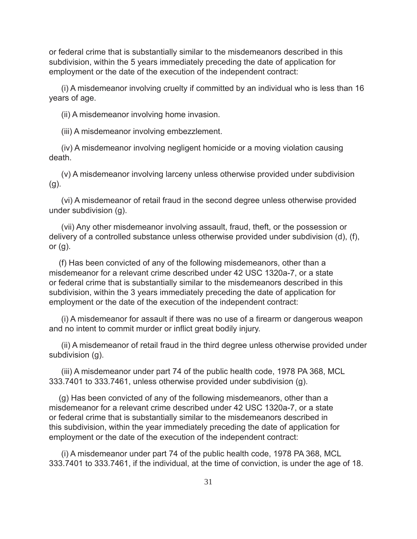or federal crime that is substantially similar to the misdemeanors described in this subdivision, within the 5 years immediately preceding the date of application for employment or the date of the execution of the independent contract:

(i) A misdemeanor involving cruelty if committed by an individual who is less than 16 years of age.

(ii) A misdemeanor involving home invasion.

(iii) A misdemeanor involving embezzlement.

(iv) A misdemeanor involving negligent homicide or a moving violation causing death.

(v) A misdemeanor involving larceny unless otherwise provided under subdivision (g).

(vi) A misdemeanor of retail fraud in the second degree unless otherwise provided under subdivision (g).

(vii) Any other misdemeanor involving assault, fraud, theft, or the possession or delivery of a controlled substance unless otherwise provided under subdivision (d), (f), or  $(g)$ .

(f) Has been convicted of any of the following misdemeanors, other than a misdemeanor for a relevant crime described under 42 USC 1320a-7, or a state or federal crime that is substantially similar to the misdemeanors described in this subdivision, within the 3 years immediately preceding the date of application for employment or the date of the execution of the independent contract:

(i) A misdemeanor for assault if there was no use of a firearm or dangerous weapon and no intent to commit murder or inflict great bodily injury.

(ii) A misdemeanor of retail fraud in the third degree unless otherwise provided under subdivision (g).

(iii) A misdemeanor under part 74 of the public health code, 1978 PA 368, MCL 333.7401 to 333.7461, unless otherwise provided under subdivision (g).

(g) Has been convicted of any of the following misdemeanors, other than a misdemeanor for a relevant crime described under 42 USC 1320a-7, or a state or federal crime that is substantially similar to the misdemeanors described in this subdivision, within the year immediately preceding the date of application for employment or the date of the execution of the independent contract:

(i) A misdemeanor under part 74 of the public health code, 1978 PA 368, MCL 333.7401 to 333.7461, if the individual, at the time of conviction, is under the age of 18.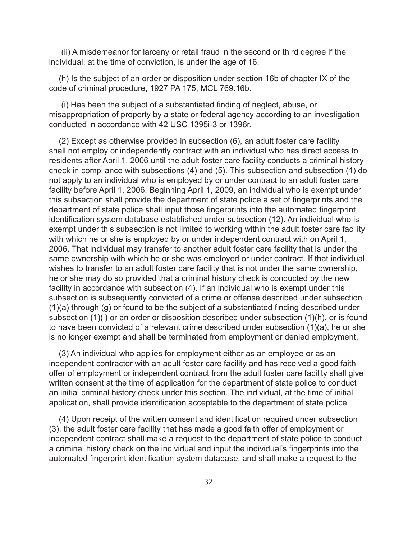(ii) A misdemeanor for larceny or retail fraud in the second or third degree if the individual, at the time of conviction, is under the age of 16.

(h) Is the subject of an order or disposition under section 16b of chapter IX of the code of criminal procedure, 1927 PA 175, MCL 769.16b.

(i) Has been the subject of a substantiated finding of neglect, abuse, or misappropriation of property by a state or federal agency according to an investigation conducted in accordance with 42 USC 1395i-3 or 1396r.

(2) Except as otherwise provided in subsection (6), an adult foster care facility shall not employ or independently contract with an individual who has direct access to residents after April 1, 2006 until the adult foster care facility conducts a criminal history check in compliance with subsections (4) and (5). This subsection and subsection (1) do not apply to an individual who is employed by or under contract to an adult foster care facility before April 1, 2006. Beginning April 1, 2009, an individual who is exempt under this subsection shall provide the department of state police a set of fingerprints and the department of state police shall input those fingerprints into the automated fingerprint identification system database established under subsection (12). An individual who is exempt under this subsection is not limited to working within the adult foster care facility with which he or she is employed by or under independent contract with on April 1, 2006. That individual may transfer to another adult foster care facility that is under the same ownership with which he or she was employed or under contract. If that individual wishes to transfer to an adult foster care facility that is not under the same ownership, he or she may do so provided that a criminal history check is conducted by the new facility in accordance with subsection (4). If an individual who is exempt under this subsection is subsequently convicted of a crime or offense described under subsection  $(1)(a)$  through  $(q)$  or found to be the subject of a substantiated finding described under subsection (1)(i) or an order or disposition described under subsection (1)(h), or is found to have been convicted of a relevant crime described under subsection (1)(a), he or she is no longer exempt and shall be terminated from employment or denied employment.

(3) An individual who applies for employment either as an employee or as an independent contractor with an adult foster care facility and has received a good faith offer of employment or independent contract from the adult foster care facility shall give written consent at the time of application for the department of state police to conduct an initial criminal history check under this section. The individual, at the time of initial application, shall provide identification acceptable to the department of state police.

(4) Upon receipt of the written consent and identification required under subsection (3), the adult foster care facility that has made a good faith offer of employment or independent contract shall make a request to the department of state police to conduct a criminal history check on the individual and input the individual's fingerprints into the automated fingerprint identification system database, and shall make a request to the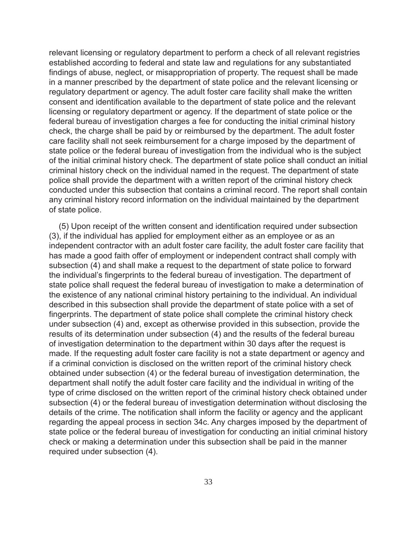relevant licensing or regulatory department to perform a check of all relevant registries established according to federal and state law and regulations for any substantiated findings of abuse, neglect, or misappropriation of property. The request shall be made in a manner prescribed by the department of state police and the relevant licensing or regulatory department or agency. The adult foster care facility shall make the written consent and identification available to the department of state police and the relevant licensing or regulatory department or agency. If the department of state police or the federal bureau of investigation charges a fee for conducting the initial criminal history check, the charge shall be paid by or reimbursed by the department. The adult foster care facility shall not seek reimbursement for a charge imposed by the department of state police or the federal bureau of investigation from the individual who is the subject of the initial criminal history check. The department of state police shall conduct an initial criminal history check on the individual named in the request. The department of state police shall provide the department with a written report of the criminal history check conducted under this subsection that contains a criminal record. The report shall contain any criminal history record information on the individual maintained by the department of state police.

(5) Upon receipt of the written consent and identification required under subsection (3), if the individual has applied for employment either as an employee or as an independent contractor with an adult foster care facility, the adult foster care facility that has made a good faith offer of employment or independent contract shall comply with subsection (4) and shall make a request to the department of state police to forward the individual's fingerprints to the federal bureau of investigation. The department of state police shall request the federal bureau of investigation to make a determination of the existence of any national criminal history pertaining to the individual. An individual described in this subsection shall provide the department of state police with a set of fingerprints. The department of state police shall complete the criminal history check under subsection (4) and, except as otherwise provided in this subsection, provide the results of its determination under subsection (4) and the results of the federal bureau of investigation determination to the department within 30 days after the request is made. If the requesting adult foster care facility is not a state department or agency and if a criminal conviction is disclosed on the written report of the criminal history check obtained under subsection (4) or the federal bureau of investigation determination, the department shall notify the adult foster care facility and the individual in writing of the type of crime disclosed on the written report of the criminal history check obtained under subsection (4) or the federal bureau of investigation determination without disclosing the details of the crime. The notification shall inform the facility or agency and the applicant regarding the appeal process in section 34c. Any charges imposed by the department of state police or the federal bureau of investigation for conducting an initial criminal history check or making a determination under this subsection shall be paid in the manner required under subsection (4).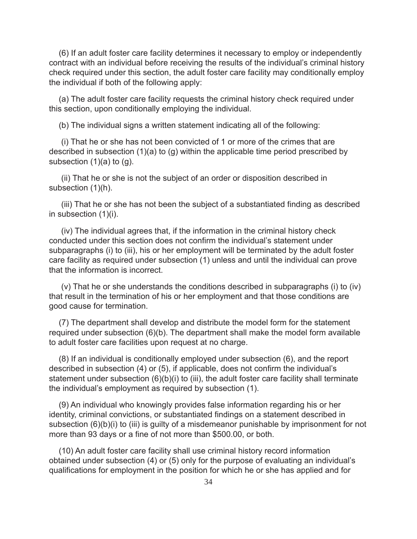(6) If an adult foster care facility determines it necessary to employ or independently contract with an individual before receiving the results of the individual's criminal history check required under this section, the adult foster care facility may conditionally employ the individual if both of the following apply:

(a) The adult foster care facility requests the criminal history check required under this section, upon conditionally employing the individual.

(b) The individual signs a written statement indicating all of the following:

(i) That he or she has not been convicted of 1 or more of the crimes that are described in subsection (1)(a) to (g) within the applicable time period prescribed by subsection  $(1)(a)$  to  $(q)$ .

(ii) That he or she is not the subject of an order or disposition described in subsection (1)(h).

(iii) That he or she has not been the subject of a substantiated finding as described in subsection (1)(i).

(iv) The individual agrees that, if the information in the criminal history check conducted under this section does not confirm the individual's statement under subparagraphs (i) to (iii), his or her employment will be terminated by the adult foster care facility as required under subsection (1) unless and until the individual can prove that the information is incorrect.

(v) That he or she understands the conditions described in subparagraphs (i) to (iv) that result in the termination of his or her employment and that those conditions are good cause for termination.

(7) The department shall develop and distribute the model form for the statement required under subsection (6)(b). The department shall make the model form available to adult foster care facilities upon request at no charge.

(8) If an individual is conditionally employed under subsection (6), and the report described in subsection  $(4)$  or  $(5)$ , if applicable, does not confirm the individual's statement under subsection (6)(b)(i) to (iii), the adult foster care facility shall terminate the individual's employment as required by subsection (1).

(9) An individual who knowingly provides false information regarding his or her identity, criminal convictions, or substantiated findings on a statement described in subsection (6)(b)(i) to (iii) is guilty of a misdemeanor punishable by imprisonment for not more than 93 days or a fine of not more than \$500.00, or both.

(10) An adult foster care facility shall use criminal history record information obtained under subsection (4) or (5) only for the purpose of evaluating an individual's qualifications for employment in the position for which he or she has applied and for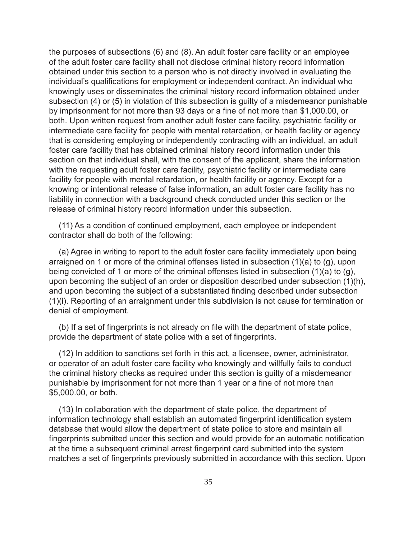the purposes of subsections (6) and (8). An adult foster care facility or an employee of the adult foster care facility shall not disclose criminal history record information obtained under this section to a person who is not directly involved in evaluating the individual's qualifications for employment or independent contract. An individual who knowingly uses or disseminates the criminal history record information obtained under subsection (4) or (5) in violation of this subsection is guilty of a misdemeanor punishable by imprisonment for not more than 93 days or a fine of not more than \$1,000.00, or both. Upon written request from another adult foster care facility, psychiatric facility or intermediate care facility for people with mental retardation, or health facility or agency that is considering employing or independently contracting with an individual, an adult foster care facility that has obtained criminal history record information under this section on that individual shall, with the consent of the applicant, share the information with the requesting adult foster care facility, psychiatric facility or intermediate care facility for people with mental retardation, or health facility or agency. Except for a knowing or intentional release of false information, an adult foster care facility has no liability in connection with a background check conducted under this section or the release of criminal history record information under this subsection.

(11) As a condition of continued employment, each employee or independent contractor shall do both of the following:

(a) Agree in writing to report to the adult foster care facility immediately upon being arraigned on 1 or more of the criminal offenses listed in subsection (1)(a) to (g), upon being convicted of 1 or more of the criminal offenses listed in subsection (1)(a) to (g), upon becoming the subject of an order or disposition described under subsection (1)(h), and upon becoming the subject of a substantiated finding described under subsection (1)(i). Reporting of an arraignment under this subdivision is not cause for termination or denial of employment.

(b) If a set of fingerprints is not already on file with the department of state police, provide the department of state police with a set of fingerprints.

(12) In addition to sanctions set forth in this act, a licensee, owner, administrator, or operator of an adult foster care facility who knowingly and willfully fails to conduct the criminal history checks as required under this section is guilty of a misdemeanor punishable by imprisonment for not more than 1 year or a fine of not more than \$5,000.00, or both.

(13) In collaboration with the department of state police, the department of information technology shall establish an automated fingerprint identification system database that would allow the department of state police to store and maintain all fingerprints submitted under this section and would provide for an automatic notification at the time a subsequent criminal arrest fingerprint card submitted into the system matches a set of fingerprints previously submitted in accordance with this section. Upon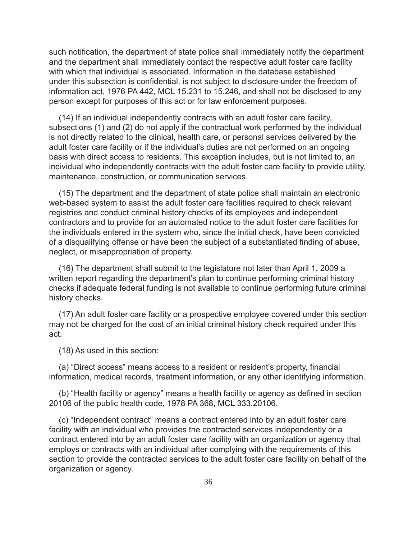such notification, the department of state police shall immediately notify the department and the department shall immediately contact the respective adult foster care facility with which that individual is associated. Information in the database established under this subsection is confidential, is not subject to disclosure under the freedom of information act, 1976 PA 442, MCL 15.231 to 15.246, and shall not be disclosed to any person except for purposes of this act or for law enforcement purposes.

(14) If an individual independently contracts with an adult foster care facility, subsections (1) and (2) do not apply if the contractual work performed by the individual is not directly related to the clinical, health care, or personal services delivered by the adult foster care facility or if the individual's duties are not performed on an ongoing basis with direct access to residents. This exception includes, but is not limited to, an individual who independently contracts with the adult foster care facility to provide utility, maintenance, construction, or communication services.

(15) The department and the department of state police shall maintain an electronic web-based system to assist the adult foster care facilities required to check relevant registries and conduct criminal history checks of its employees and independent contractors and to provide for an automated notice to the adult foster care facilities for the individuals entered in the system who, since the initial check, have been convicted of a disqualifying offense or have been the subject of a substantiated finding of abuse, neglect, or misappropriation of property.

(16) The department shall submit to the legislature not later than April 1, 2009 a written report regarding the department's plan to continue performing criminal history checks if adequate federal funding is not available to continue performing future criminal history checks.

(17) An adult foster care facility or a prospective employee covered under this section may not be charged for the cost of an initial criminal history check required under this act.

(18) As used in this section:

(a) "Direct access" means access to a resident or resident's property, financial information, medical records, treatment information, or any other identifying information.

(b) "Health facility or agency" means a health facility or agency as defined in section 20106 of the public health code, 1978 PA 368, MCL 333.20106.

(c) "Independent contract" means a contract entered into by an adult foster care facility with an individual who provides the contracted services independently or a contract entered into by an adult foster care facility with an organization or agency that employs or contracts with an individual after complying with the requirements of this section to provide the contracted services to the adult foster care facility on behalf of the organization or agency.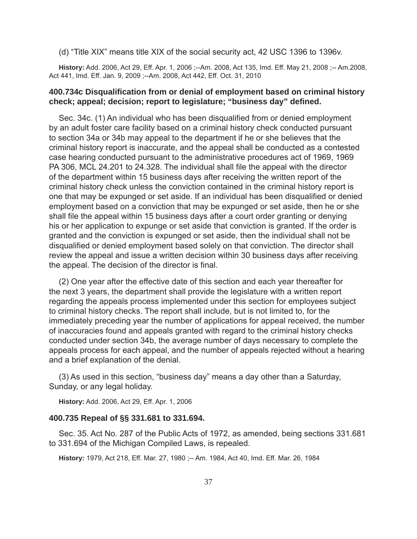(d) "Title XIX" means title XIX of the social security act, 42 USC 1396 to 1396v.

**History:** Add. 2006, Act 29, Eff. Apr. 1, 2006 ;--Am. 2008, Act 135, Imd. Eff. May 21, 2008 ;-- Am.2008, Act 441, Imd. Eff. Jan. 9, 2009 ;--Am. 2008, Act 442, Eff. Oct. 31, 2010

# **400.734c Disqualifi cation from or denial of employment based on criminal history check; appeal; decision; report to legislature; "business day" defi ned.**

Sec. 34c. (1) An individual who has been disqualified from or denied employment by an adult foster care facility based on a criminal history check conducted pursuant to section 34a or 34b may appeal to the department if he or she believes that the criminal history report is inaccurate, and the appeal shall be conducted as a contested case hearing conducted pursuant to the administrative procedures act of 1969, 1969 PA 306, MCL 24.201 to 24.328. The individual shall file the appeal with the director of the department within 15 business days after receiving the written report of the criminal history check unless the conviction contained in the criminal history report is one that may be expunged or set aside. If an individual has been disqualified or denied employment based on a conviction that may be expunged or set aside, then he or she shall file the appeal within 15 business days after a court order granting or denying his or her application to expunge or set aside that conviction is granted. If the order is granted and the conviction is expunged or set aside, then the individual shall not be disqualified or denied employment based solely on that conviction. The director shall review the appeal and issue a written decision within 30 business days after receiving the appeal. The decision of the director is final.

(2) One year after the effective date of this section and each year thereafter for the next 3 years, the department shall provide the legislature with a written report regarding the appeals process implemented under this section for employees subject to criminal history checks. The report shall include, but is not limited to, for the immediately preceding year the number of applications for appeal received, the number of inaccuracies found and appeals granted with regard to the criminal history checks conducted under section 34b, the average number of days necessary to complete the appeals process for each appeal, and the number of appeals rejected without a hearing and a brief explanation of the denial.

(3) As used in this section, "business day" means a day other than a Saturday, Sunday, or any legal holiday.

**History:** Add. 2006, Act 29, Eff. Apr. 1, 2006

#### **400.735 Repeal of §§ 331.681 to 331.694.**

Sec. 35. Act No. 287 of the Public Acts of 1972, as amended, being sections 331.681 to 331.694 of the Michigan Compiled Laws, is repealed.

**History:** 1979, Act 218, Eff. Mar. 27, 1980 ;-- Am. 1984, Act 40, Imd. Eff. Mar. 26, 1984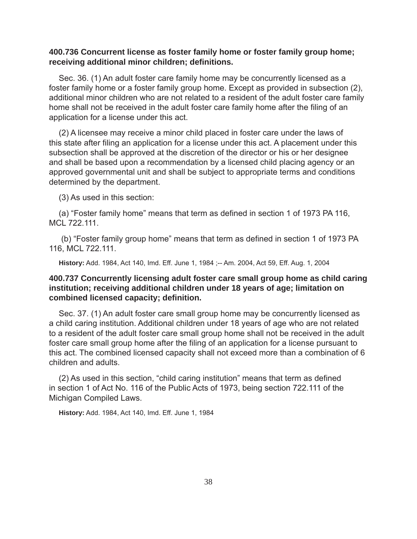# **400.736 Concurrent license as foster family home or foster family group home; receiving additional minor children; defi nitions.**

Sec. 36. (1) An adult foster care family home may be concurrently licensed as a foster family home or a foster family group home. Except as provided in subsection (2), additional minor children who are not related to a resident of the adult foster care family home shall not be received in the adult foster care family home after the filing of an application for a license under this act.

(2) A licensee may receive a minor child placed in foster care under the laws of this state after filing an application for a license under this act. A placement under this subsection shall be approved at the discretion of the director or his or her designee and shall be based upon a recommendation by a licensed child placing agency or an approved governmental unit and shall be subject to appropriate terms and conditions determined by the department.

(3) As used in this section:

(a) "Foster family home" means that term as defined in section 1 of 1973 PA 116, MCL 722.111.

(b) "Foster family group home" means that term as defined in section 1 of 1973 PA 116, MCL 722.111.

**History:** Add. 1984, Act 140, Imd. Eff. June 1, 1984 ;-- Am. 2004, Act 59, Eff. Aug. 1, 2004

# **400.737 Concurrently licensing adult foster care small group home as child caring institution; receiving additional children under 18 years of age; limitation on combined licensed capacity; defi nition.**

Sec. 37. (1) An adult foster care small group home may be concurrently licensed as a child caring institution. Additional children under 18 years of age who are not related to a resident of the adult foster care small group home shall not be received in the adult foster care small group home after the filing of an application for a license pursuant to this act. The combined licensed capacity shall not exceed more than a combination of 6 children and adults.

(2) As used in this section, "child caring institution" means that term as defined in section 1 of Act No. 116 of the Public Acts of 1973, being section 722.111 of the Michigan Compiled Laws.

**History:** Add. 1984, Act 140, Imd. Eff. June 1, 1984